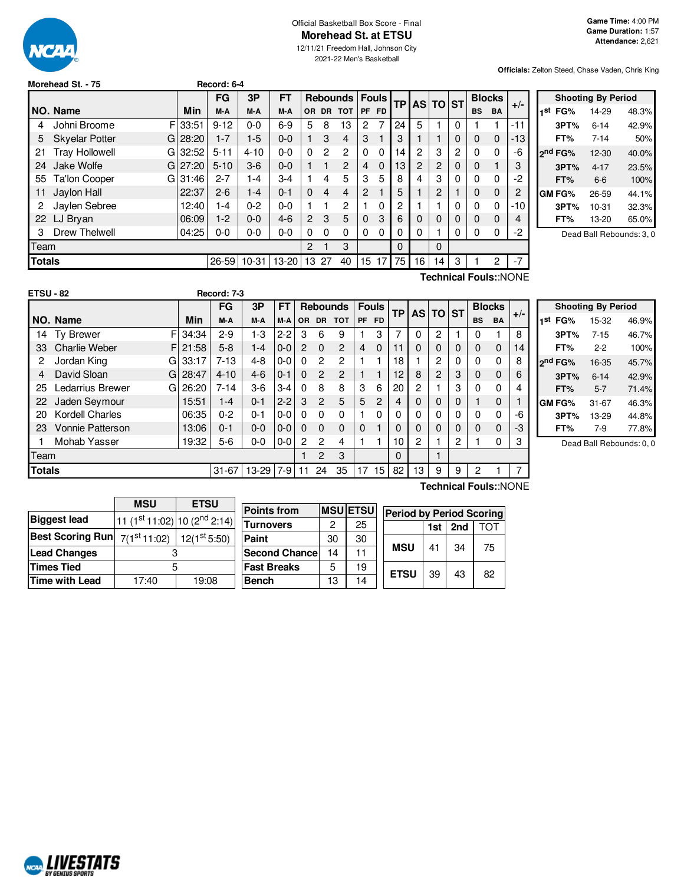

#### Official Basketball Box Score - Final **Morehead St. at ETSU**

12/11/21 Freedom Hall, Johnson City 2021-22 Men's Basketball

**Officials:** Zelton Steed, Chase Vaden, Chris King

| Morehead St. - 75 |  |  |
|-------------------|--|--|

**NORD LIVESTATS** 

|               |                             |         | FG       | 3P       | <b>FT</b> |                |    | <b>Rebounds   Fouls</b> |                |          | TPI |                | AS TO ST    |   |           | <b>Blocks</b>  | $+/-$                 |
|---------------|-----------------------------|---------|----------|----------|-----------|----------------|----|-------------------------|----------------|----------|-----|----------------|-------------|---|-----------|----------------|-----------------------|
|               | NO. Name                    | Min     | M-A      | M-A      | M-A       |                |    | OR DR TOT               |                | PF FD    |     |                |             |   | <b>BS</b> | <b>BA</b>      |                       |
| 4             | F<br>Johni Broome           | 33:51   | $9 - 12$ | $0 - 0$  | $6-9$     | 5              | 8  | 13                      | 2              | 7        | 24  | 5              |             | 0 |           |                | $-11$                 |
| 5             | <b>Skyelar Potter</b><br>GI | 28:20   | $1 - 7$  | $1-5$    | $0 - 0$   |                | 3  | 4                       | 3              |          | 3   |                |             | 0 | 0         | $\mathbf 0$    | -13                   |
| 21            | <b>Tray Hollowell</b><br>Gl | 32:52   | $5 - 11$ | $4 - 10$ | $0 - 0$   | $\Omega$       | 2  | $\overline{c}$          | 0              | 0        | 14  | 2              | 3           | 2 | $\Omega$  | 0              | -6                    |
| 24            | Jake Wolfe                  | GI27:20 | $5 - 10$ | $3-6$    | $0 - 0$   |                |    | $\overline{2}$          | $\overline{4}$ | $\Omega$ | 13  | $\overline{2}$ | 2           | 0 | 0         |                | 3                     |
| 55            | Ta'lon Cooper<br>Gl         | 31:46   | $2 - 7$  | $ -4$    | $3-4$     |                | 4  | 5                       | 3              | 5        | 8   | 4              | 3           | 0 | 0         | 0              | -2                    |
| 11            | Jaylon Hall                 | 22:37   | $2 - 6$  | $1 - 4$  | $0 - 1$   | $\Omega$       | 4  | 4                       | 2              |          | 5   | 1              | 2           |   | 0         | 0              | 2                     |
| 2             | Jaylen Sebree               | 12:40   | 1-4      | $0 - 2$  | $0-0$     |                |    | $\overline{c}$          |                | 0        | 2   |                |             | 0 | $\Omega$  | 0              | -10                   |
| 22            | LJ Bryan                    | 06:09   | $1-2$    | $0 - 0$  | $4-6$     | $\overline{2}$ | 3  | 5                       | $\mathbf 0$    | 3        | 6   | $\Omega$       | 0           | 0 | $\Omega$  | $\mathbf 0$    | 4                     |
| 3             | <b>Drew Thelwell</b>        | 04:25   | $0-0$    | $0 - 0$  | $0-0$     | 0              | 0  | $\Omega$                | 0              | 0        | 0   | $\Omega$       |             | 0 | 0         | $\Omega$       | -2                    |
| Team          |                             |         |          |          |           | $\overline{2}$ |    | 3                       |                |          | 0   |                | $\mathbf 0$ |   |           |                |                       |
| <b>Totals</b> |                             |         | 26-59    | $10-31$  | $13-20$   | 13             | 27 | 40                      | 15             | 17       | 75  | 16             | 14          | 3 |           | $\overline{c}$ | $-7$                  |
|               |                             |         |          |          |           |                |    |                         |                |          |     |                |             |   |           |                | Technical Fouls::NONE |

**Morehead St. - 75 Record: 6-4**

|     |         | <b>Shooting By Period</b> |       |
|-----|---------|---------------------------|-------|
| ıst | FG%     | 14-29                     | 48.3% |
|     | 3PT%    | $6 - 14$                  | 42.9% |
|     | FT%     | $7 - 14$                  | 50%   |
|     | 2nd FG% | 12-30                     | 40.0% |
|     | 3PT%    | $4 - 17$                  | 23.5% |
|     | FT%     | $6-6$                     | 100%  |
|     | GM FG%  | 26-59                     | 44.1% |
|     | 3PT%    | $10 - 31$                 | 32.3% |
|     | FT%     | 13-20                     | 65.0% |
|     |         |                           |       |

Dead Ball Rebounds: 3, 0

| <b>ETSU - 82</b> |                         |    |       | Record: 7-3 |           |           |          |                |                 |              |                |    |              |   |           |             |                       |       |
|------------------|-------------------------|----|-------|-------------|-----------|-----------|----------|----------------|-----------------|--------------|----------------|----|--------------|---|-----------|-------------|-----------------------|-------|
|                  |                         |    |       | <b>FG</b>   | 3P        | <b>FT</b> |          |                | <b>Rebounds</b> |              | <b>Fouls</b>   | TP | <b>ASITO</b> |   | <b>ST</b> |             | <b>Blocks</b>         |       |
|                  | NO. Name                |    | Min   | M-A         | M-A       | M-A       | OR.      | <b>DR</b>      | <b>TOT</b>      | PF.          | <b>FD</b>      |    |              |   |           | <b>BS</b>   | <b>BA</b>             | $+/-$ |
| 14               | <b>Ty Brewer</b>        | F  | 34:34 | $2-9$       | $1-3$     | $2 - 2$   | 3        | 6              | 9               |              | 3              | 7  | 0            | 2 |           | 0           |                       | 8     |
| 33               | <b>Charlie Weber</b>    | FI | 21:58 | $5 - 8$     | $1 - 4$   | $0-0$     | 2        | $\Omega$       | 2               | 4            | 0              | 11 | 0            | 0 | 0         | 0           | 0                     | 14    |
| 2                | Jordan King             | G  | 33:17 | $7-13$      | 4-8       | $0-0$     | $\Omega$ | 2              | $\overline{c}$  |              |                | 18 |              | 2 | 0         | 0           | 0                     | 8     |
| 4                | David Sloan             | G  | 28:47 | $4 - 10$    | $4-6$     | $0 - 1$   | $\Omega$ | $\overline{2}$ | 2               |              |                | 12 | 8            | 2 | 3         | 0           | 0                     | 6     |
| 25               | Ledarrius Brewer        | G  | 26:20 | $7 - 14$    | $3-6$     | $3 - 4$   | 0        | 8              | 8               | 3            | 6              | 20 | 2            | 1 | 3         | 0           | 0                     | 4     |
| 22               | Jaden Seymour           |    | 15:51 | $1 - 4$     | $0 - 1$   | $2 - 2$   | 3        | $\overline{2}$ | 5               | 5            | $\overline{2}$ | 4  | 0            | 0 | 0         |             | 0                     |       |
| 20               | <b>Kordell Charles</b>  |    | 06:35 | $0 - 2$     | $0 - 1$   | $0-0$     | 0        | $\Omega$       | 0               |              | 0              | 0  | 0            | 0 | 0         | 0           | 0                     | -6    |
| 23               | <b>Vonnie Patterson</b> |    | 13:06 | $0 - 1$     | $0 - 0$   | $0-0$     | $\Omega$ | $\Omega$       | 0               | $\mathbf{0}$ |                | 0  | 0            | 0 | 0         | $\mathbf 0$ | 0                     | -3    |
|                  | Mohab Yasser            |    | 19:32 | 5-6         | $0-0$     | $0-0$     | 2        | 2              | 4               |              |                | 10 | 2            | 1 | 2         |             | 0                     | 3     |
| Team             |                         |    |       |             |           |           |          | 2              | 3               |              |                | 0  |              | 1 |           |             |                       |       |
| Totals           |                         |    |       | $31 - 67$   | 13-29 7-9 |           | 11       | 24             | 35              | 17           | 15             | 82 | 13           | 9 | 9         | 2           |                       | 7     |
|                  |                         |    |       |             |           |           |          |                |                 |              |                |    |              |   |           |             | Technical Fouls::NONE |       |

| <b>Shooting By Period</b> |           |       |  |  |  |  |  |  |
|---------------------------|-----------|-------|--|--|--|--|--|--|
| FG%<br>1st                | 15-32     | 46.9% |  |  |  |  |  |  |
| 3PT%                      | $7 - 15$  | 46.7% |  |  |  |  |  |  |
| FT%                       | 2-2       | 100%  |  |  |  |  |  |  |
| 2 <sup>nd</sup> FG%       | 16-35     | 45.7% |  |  |  |  |  |  |
| 3PT%                      | $6 - 14$  | 42.9% |  |  |  |  |  |  |
| FT%                       | $5 - 7$   | 71.4% |  |  |  |  |  |  |
| GM FG%                    | $31 - 67$ | 46.3% |  |  |  |  |  |  |
| 3PT%                      | 13-29     | 44.8% |  |  |  |  |  |  |
| FT%                       | $7-9$     | 77.8% |  |  |  |  |  |  |

Dead Ball Rebounds: 0, 0

|                                                | <b>MSU</b>                               | <b>ETSU</b>              |                      |                |    |                                 |     |     |     |
|------------------------------------------------|------------------------------------------|--------------------------|----------------------|----------------|----|---------------------------------|-----|-----|-----|
|                                                |                                          |                          | <b>Points from</b>   | <b>MSUETSU</b> |    | <b>Period by Period Scoring</b> |     |     |     |
| <b>Biggest lead</b>                            | 11 (1st 11:02) 10 (2 <sup>nd</sup> 2:14) |                          |                      | ົ              |    |                                 |     |     |     |
|                                                |                                          |                          | <b>Turnovers</b>     |                | 25 |                                 | 1st | 2nd | TOT |
| Best Scoring Run $\mid$ $7(1^\text{st}$ 11:02) |                                          | 12(1 <sup>st</sup> 5:50) | Paint                | 30             | 30 |                                 |     |     |     |
| <b>Lead Changes</b>                            |                                          |                          | <b>Second Chance</b> | 14             | 11 | <b>MSU</b>                      | 41  | 34  | 75  |
| Times Tied                                     |                                          |                          | <b>Fast Breaks</b>   | 5              | 19 | <b>ETSU</b>                     | 39  | 43  | 82  |
| Time with Lead                                 | 17:40                                    | 19:08                    | <b>Bench</b>         | 13             | 14 |                                 |     |     |     |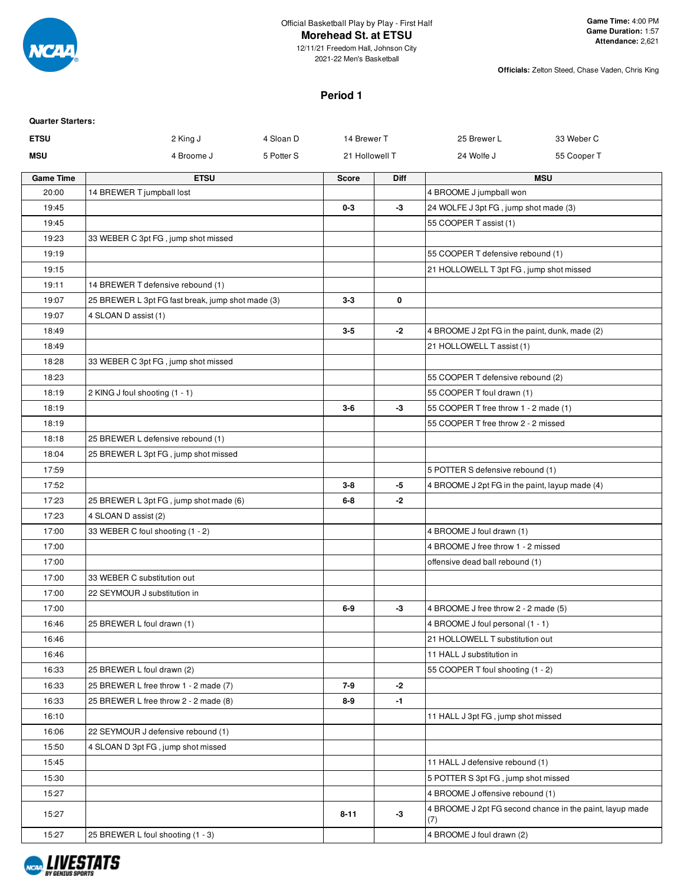

12/11/21 Freedom Hall, Johnson City 2021-22 Men's Basketball

**Officials:** Zelton Steed, Chase Vaden, Chris King

#### **Period 1**

| <b>Quarter Starters:</b> |                                                   |            |                |             |                                                                     |                                                          |
|--------------------------|---------------------------------------------------|------------|----------------|-------------|---------------------------------------------------------------------|----------------------------------------------------------|
| <b>ETSU</b>              | 2 King J                                          | 4 Sloan D  | 14 Brewer T    |             | 25 Brewer L                                                         | 33 Weber C                                               |
| <b>MSU</b>               | 4 Broome J                                        | 5 Potter S | 21 Hollowell T |             | 24 Wolfe J                                                          | 55 Cooper T                                              |
| <b>Game Time</b>         | <b>ETSU</b>                                       |            | <b>Score</b>   | <b>Diff</b> |                                                                     | <b>MSU</b>                                               |
| 20:00                    | 14 BREWER T jumpball lost                         |            |                |             | 4 BROOME J jumpball won                                             |                                                          |
| 19:45                    |                                                   |            | $0-3$          | -3          | 24 WOLFE J 3pt FG, jump shot made (3)                               |                                                          |
| 19:45                    |                                                   |            |                |             | 55 COOPER T assist (1)                                              |                                                          |
| 19:23                    | 33 WEBER C 3pt FG, jump shot missed               |            |                |             |                                                                     |                                                          |
| 19:19                    |                                                   |            |                |             | 55 COOPER T defensive rebound (1)                                   |                                                          |
| 19:15                    |                                                   |            |                |             | 21 HOLLOWELL T 3pt FG, jump shot missed                             |                                                          |
| 19:11                    | 14 BREWER T defensive rebound (1)                 |            |                |             |                                                                     |                                                          |
| 19:07                    | 25 BREWER L 3pt FG fast break, jump shot made (3) |            | $3-3$          | 0           |                                                                     |                                                          |
| 19:07                    | 4 SLOAN D assist (1)                              |            |                |             |                                                                     |                                                          |
| 18:49                    |                                                   |            | $3-5$          | $-2$        | 4 BROOME J 2pt FG in the paint, dunk, made (2)                      |                                                          |
| 18:49                    |                                                   |            |                |             | 21 HOLLOWELL T assist (1)                                           |                                                          |
| 18:28                    | 33 WEBER C 3pt FG, jump shot missed               |            |                |             |                                                                     |                                                          |
| 18:23                    |                                                   |            |                |             | 55 COOPER T defensive rebound (2)                                   |                                                          |
| 18:19<br>18:19           | 2 KING J foul shooting (1 - 1)                    |            | $3-6$          | -3          | 55 COOPER T foul drawn (1)<br>55 COOPER T free throw 1 - 2 made (1) |                                                          |
| 18:19                    |                                                   |            |                |             | 55 COOPER T free throw 2 - 2 missed                                 |                                                          |
| 18:18                    | 25 BREWER L defensive rebound (1)                 |            |                |             |                                                                     |                                                          |
| 18:04                    | 25 BREWER L 3pt FG, jump shot missed              |            |                |             |                                                                     |                                                          |
| 17:59                    |                                                   |            |                |             | 5 POTTER S defensive rebound (1)                                    |                                                          |
| 17:52                    |                                                   |            | $3-8$          | -5          | 4 BROOME J 2pt FG in the paint, layup made (4)                      |                                                          |
| 17:23                    | 25 BREWER L 3pt FG, jump shot made (6)            |            | $6-8$          | -2          |                                                                     |                                                          |
| 17:23                    | 4 SLOAN D assist (2)                              |            |                |             |                                                                     |                                                          |
| 17:00                    | 33 WEBER C foul shooting (1 - 2)                  |            |                |             | 4 BROOME J foul drawn (1)                                           |                                                          |
| 17:00                    |                                                   |            |                |             | 4 BROOME J free throw 1 - 2 missed                                  |                                                          |
| 17:00                    |                                                   |            |                |             | offensive dead ball rebound (1)                                     |                                                          |
| 17:00                    | 33 WEBER C substitution out                       |            |                |             |                                                                     |                                                          |
| 17:00                    | 22 SEYMOUR J substitution in                      |            |                |             |                                                                     |                                                          |
| 17:00                    |                                                   |            | $6-9$          | -3          | 4 BROOME J free throw 2 - 2 made (5)                                |                                                          |
| 16:46                    | 25 BREWER L foul drawn (1)                        |            |                |             | 4 BROOME J foul personal (1 - 1)                                    |                                                          |
| 16:46                    |                                                   |            |                |             | 21 HOLLOWELL T substitution out                                     |                                                          |
| 16:46                    |                                                   |            |                |             | 11 HALL J substitution in                                           |                                                          |
| 16:33                    | 25 BREWER L foul drawn (2)                        |            |                |             | 55 COOPER T foul shooting (1 - 2)                                   |                                                          |
| 16:33                    | 25 BREWER L free throw 1 - 2 made (7)             |            | 7-9            | -2          |                                                                     |                                                          |
| 16:33                    | 25 BREWER L free throw 2 - 2 made (8)             |            | 8-9            | $-1$        |                                                                     |                                                          |
| 16:10                    |                                                   |            |                |             | 11 HALL J 3pt FG, jump shot missed                                  |                                                          |
| 16:06                    | 22 SEYMOUR J defensive rebound (1)                |            |                |             |                                                                     |                                                          |
| 15:50                    | 4 SLOAN D 3pt FG, jump shot missed                |            |                |             |                                                                     |                                                          |
| 15:45                    |                                                   |            |                |             | 11 HALL J defensive rebound (1)                                     |                                                          |
| 15:30                    |                                                   |            |                |             | 5 POTTER S 3pt FG, jump shot missed                                 |                                                          |
| 15:27                    |                                                   |            |                |             | 4 BROOME J offensive rebound (1)                                    |                                                          |
| 15:27                    |                                                   |            | $8 - 11$       | $-3$        | (7)                                                                 | 4 BROOME J 2pt FG second chance in the paint, layup made |
| 15:27                    | 25 BREWER L foul shooting (1 - 3)                 |            |                |             | 4 BROOME J foul drawn (2)                                           |                                                          |

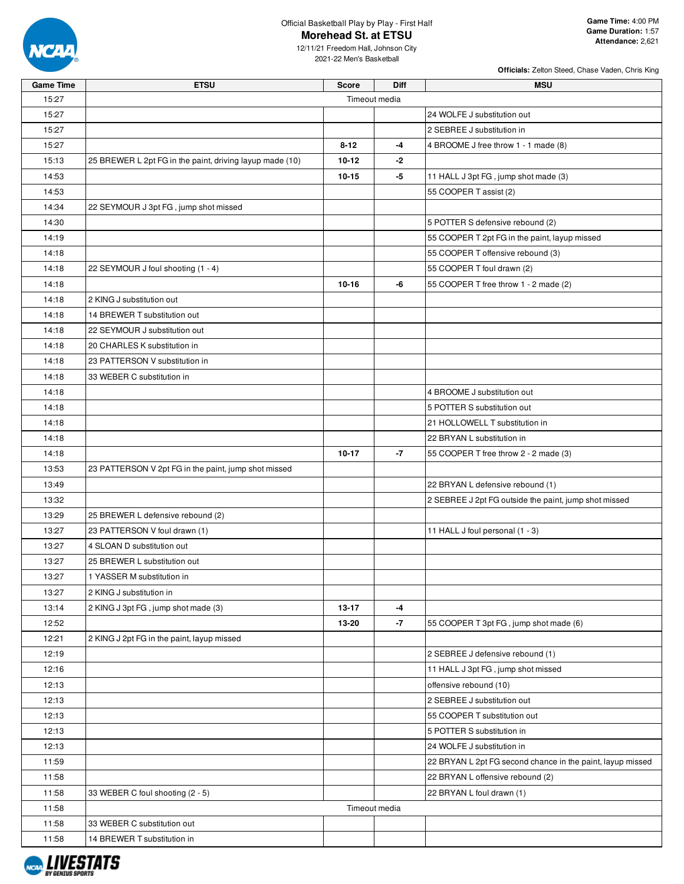

12/11/21 Freedom Hall, Johnson City 2021-22 Men's Basketball

| <b>Game Time</b> | <b>ETSU</b>                                              | <b>Score</b>  | <b>Diff</b> | <b>MSU</b>                                                 |
|------------------|----------------------------------------------------------|---------------|-------------|------------------------------------------------------------|
| 15:27            |                                                          | Timeout media |             |                                                            |
| 15:27            |                                                          |               |             | 24 WOLFE J substitution out                                |
| 15:27            |                                                          |               |             | 2 SEBREE J substitution in                                 |
| 15:27            |                                                          | $8 - 12$      | -4          | 4 BROOME J free throw 1 - 1 made (8)                       |
| 15:13            | 25 BREWER L 2pt FG in the paint, driving layup made (10) | $10 - 12$     | -2          |                                                            |
| 14:53            |                                                          | 10-15         | -5          | 11 HALL J 3pt FG, jump shot made (3)                       |
| 14:53            |                                                          |               |             | 55 COOPER T assist (2)                                     |
| 14:34            | 22 SEYMOUR J 3pt FG, jump shot missed                    |               |             |                                                            |
| 14:30            |                                                          |               |             | 5 POTTER S defensive rebound (2)                           |
| 14:19            |                                                          |               |             | 55 COOPER T 2pt FG in the paint, layup missed              |
| 14:18            |                                                          |               |             | 55 COOPER T offensive rebound (3)                          |
| 14:18            | 22 SEYMOUR J foul shooting (1 - 4)                       |               |             | 55 COOPER T foul drawn (2)                                 |
| 14:18            |                                                          | $10 - 16$     | -6          | 55 COOPER T free throw 1 - 2 made (2)                      |
| 14:18            | 2 KING J substitution out                                |               |             |                                                            |
| 14:18            | 14 BREWER T substitution out                             |               |             |                                                            |
| 14:18            | 22 SEYMOUR J substitution out                            |               |             |                                                            |
| 14:18            | 20 CHARLES K substitution in                             |               |             |                                                            |
| 14:18            | 23 PATTERSON V substitution in                           |               |             |                                                            |
| 14:18            | 33 WEBER C substitution in                               |               |             |                                                            |
| 14:18            |                                                          |               |             | 4 BROOME J substitution out                                |
| 14:18            |                                                          |               |             | 5 POTTER S substitution out                                |
| 14:18            |                                                          |               |             | 21 HOLLOWELL T substitution in                             |
| 14:18            |                                                          |               |             | 22 BRYAN L substitution in                                 |
| 14:18            |                                                          | $10 - 17$     | $-7$        | 55 COOPER T free throw 2 - 2 made (3)                      |
| 13:53            | 23 PATTERSON V 2pt FG in the paint, jump shot missed     |               |             |                                                            |
| 13:49            |                                                          |               |             | 22 BRYAN L defensive rebound (1)                           |
| 13:32            |                                                          |               |             | 2 SEBREE J 2pt FG outside the paint, jump shot missed      |
| 13:29            | 25 BREWER L defensive rebound (2)                        |               |             |                                                            |
| 13:27            | 23 PATTERSON V foul drawn (1)                            |               |             | 11 HALL J foul personal (1 - 3)                            |
| 13:27            | 4 SLOAN D substitution out                               |               |             |                                                            |
| 13:27            | 25 BREWER L substitution out                             |               |             |                                                            |
| 13:27            | 1 YASSER M substitution in                               |               |             |                                                            |
| 13:27            | 2 KING J substitution in                                 |               |             |                                                            |
| 13:14            | 2 KING J 3pt FG, jump shot made (3)                      | $13 - 17$     | -4          |                                                            |
| 12:52            |                                                          | 13-20         | $-7$        | 55 COOPER T 3pt FG, jump shot made (6)                     |
| 12:21            | 2 KING J 2pt FG in the paint, layup missed               |               |             |                                                            |
| 12:19            |                                                          |               |             | 2 SEBREE J defensive rebound (1)                           |
| 12:16            |                                                          |               |             | 11 HALL J 3pt FG, jump shot missed                         |
| 12:13            |                                                          |               |             | offensive rebound (10)                                     |
| 12:13            |                                                          |               |             | 2 SEBREE J substitution out                                |
| 12:13            |                                                          |               |             | 55 COOPER T substitution out                               |
| 12:13            |                                                          |               |             | 5 POTTER S substitution in                                 |
| 12:13            |                                                          |               |             | 24 WOLFE J substitution in                                 |
| 11:59            |                                                          |               |             | 22 BRYAN L 2pt FG second chance in the paint, layup missed |
| 11:58            |                                                          |               |             | 22 BRYAN L offensive rebound (2)                           |
| 11:58            | 33 WEBER C foul shooting (2 - 5)                         |               |             | 22 BRYAN L foul drawn (1)                                  |
| 11:58            |                                                          | Timeout media |             |                                                            |
| 11:58            | 33 WEBER C substitution out                              |               |             |                                                            |
| 11:58            | 14 BREWER T substitution in                              |               |             |                                                            |
|                  |                                                          |               |             |                                                            |

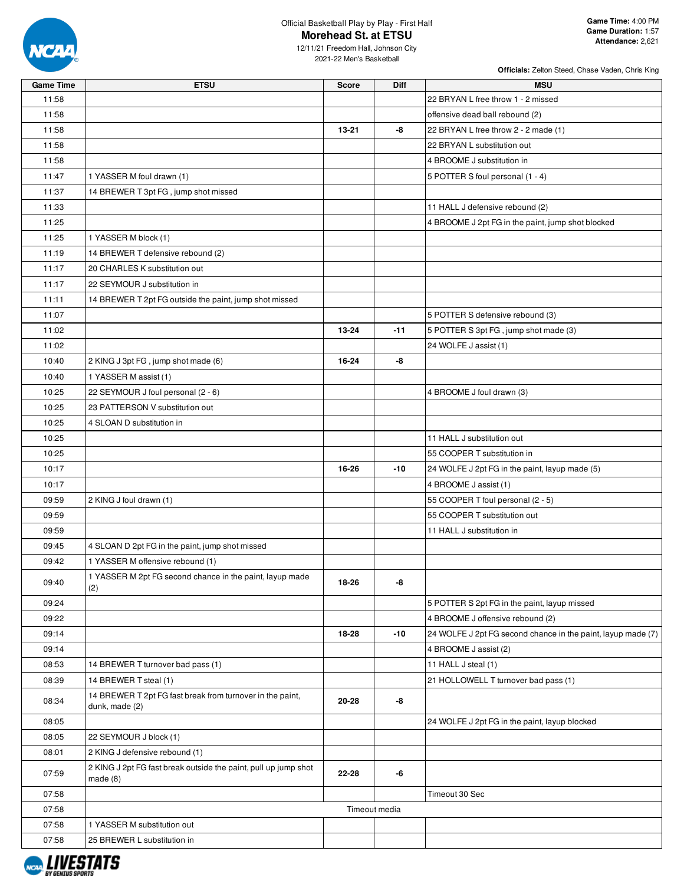

**Officials:** Zelton Steed, Chase Vaden, Chris King

12/11/21 Freedom Hall, Johnson City 2021-22 Men's Basketball

| <b>Game Time</b> | <b>ETSU</b>                                                                 | <b>Score</b> | Diff          | <b>MSU</b>                                                   |
|------------------|-----------------------------------------------------------------------------|--------------|---------------|--------------------------------------------------------------|
| 11:58            |                                                                             |              |               | 22 BRYAN L free throw 1 - 2 missed                           |
| 11:58            |                                                                             |              |               | offensive dead ball rebound (2)                              |
| 11:58            |                                                                             | 13-21        | -8            | 22 BRYAN L free throw 2 - 2 made (1)                         |
| 11:58            |                                                                             |              |               | 22 BRYAN L substitution out                                  |
| 11:58            |                                                                             |              |               | 4 BROOME J substitution in                                   |
| 11:47            | 1 YASSER M foul drawn (1)                                                   |              |               | 5 POTTER S foul personal (1 - 4)                             |
| 11:37            | 14 BREWER T 3pt FG, jump shot missed                                        |              |               |                                                              |
| 11:33            |                                                                             |              |               | 11 HALL J defensive rebound (2)                              |
| 11:25            |                                                                             |              |               | 4 BROOME J 2pt FG in the paint, jump shot blocked            |
| 11:25            | 1 YASSER M block (1)                                                        |              |               |                                                              |
| 11:19            | 14 BREWER T defensive rebound (2)                                           |              |               |                                                              |
| 11:17            | 20 CHARLES K substitution out                                               |              |               |                                                              |
| 11:17            | 22 SEYMOUR J substitution in                                                |              |               |                                                              |
| 11:11            | 14 BREWER T 2pt FG outside the paint, jump shot missed                      |              |               |                                                              |
| 11:07            |                                                                             |              |               | 5 POTTER S defensive rebound (3)                             |
| 11:02            |                                                                             | 13-24        | -11           | 5 POTTER S 3pt FG, jump shot made (3)                        |
| 11:02            |                                                                             |              |               | 24 WOLFE J assist (1)                                        |
| 10:40            | 2 KING J 3pt FG, jump shot made (6)                                         | 16-24        | -8            |                                                              |
| 10:40            | 1 YASSER M assist (1)                                                       |              |               |                                                              |
| 10:25            | 22 SEYMOUR J foul personal (2 - 6)                                          |              |               | 4 BROOME J foul drawn (3)                                    |
| 10:25            | 23 PATTERSON V substitution out                                             |              |               |                                                              |
| 10:25            | 4 SLOAN D substitution in                                                   |              |               |                                                              |
| 10:25            |                                                                             |              |               | 11 HALL J substitution out                                   |
| 10:25            |                                                                             |              |               | 55 COOPER T substitution in                                  |
| 10:17            |                                                                             | 16-26        | -10           | 24 WOLFE J 2pt FG in the paint, layup made (5)               |
| 10:17            |                                                                             |              |               | 4 BROOME J assist (1)                                        |
| 09:59            | 2 KING J foul drawn (1)                                                     |              |               | 55 COOPER T foul personal (2 - 5)                            |
| 09:59            |                                                                             |              |               | 55 COOPER T substitution out                                 |
| 09:59            |                                                                             |              |               | 11 HALL J substitution in                                    |
| 09:45            | 4 SLOAN D 2pt FG in the paint, jump shot missed                             |              |               |                                                              |
| 09:42            | 1 YASSER M offensive rebound (1)                                            |              |               |                                                              |
|                  | 1 YASSER M 2pt FG second chance in the paint, layup made                    |              |               |                                                              |
| 09:40            | (2)                                                                         | 18-26        | -8            |                                                              |
| 09:24            |                                                                             |              |               | 5 POTTER S 2pt FG in the paint, layup missed                 |
| 09:22            |                                                                             |              |               | 4 BROOME J offensive rebound (2)                             |
| 09:14            |                                                                             | 18-28        | -10           | 24 WOLFE J 2pt FG second chance in the paint, layup made (7) |
| 09:14            |                                                                             |              |               | 4 BROOME J assist (2)                                        |
| 08:53            | 14 BREWER T turnover bad pass (1)                                           |              |               | 11 HALL J steal (1)                                          |
| 08:39            | 14 BREWER T steal (1)                                                       |              |               | 21 HOLLOWELL T turnover bad pass (1)                         |
| 08:34            | 14 BREWER T 2pt FG fast break from turnover in the paint,<br>dunk, made (2) | 20-28        | -8            |                                                              |
| 08:05            |                                                                             |              |               | 24 WOLFE J 2pt FG in the paint, layup blocked                |
| 08:05            | 22 SEYMOUR J block (1)                                                      |              |               |                                                              |
| 08:01            | 2 KING J defensive rebound (1)                                              |              |               |                                                              |
| 07:59            | 2 KING J 2pt FG fast break outside the paint, pull up jump shot<br>made(8)  | 22-28        | -6            |                                                              |
| 07:58            |                                                                             |              |               | Timeout 30 Sec                                               |
| 07:58            |                                                                             |              | Timeout media |                                                              |
| 07:58            | 1 YASSER M substitution out                                                 |              |               |                                                              |
| 07:58            | 25 BREWER L substitution in                                                 |              |               |                                                              |

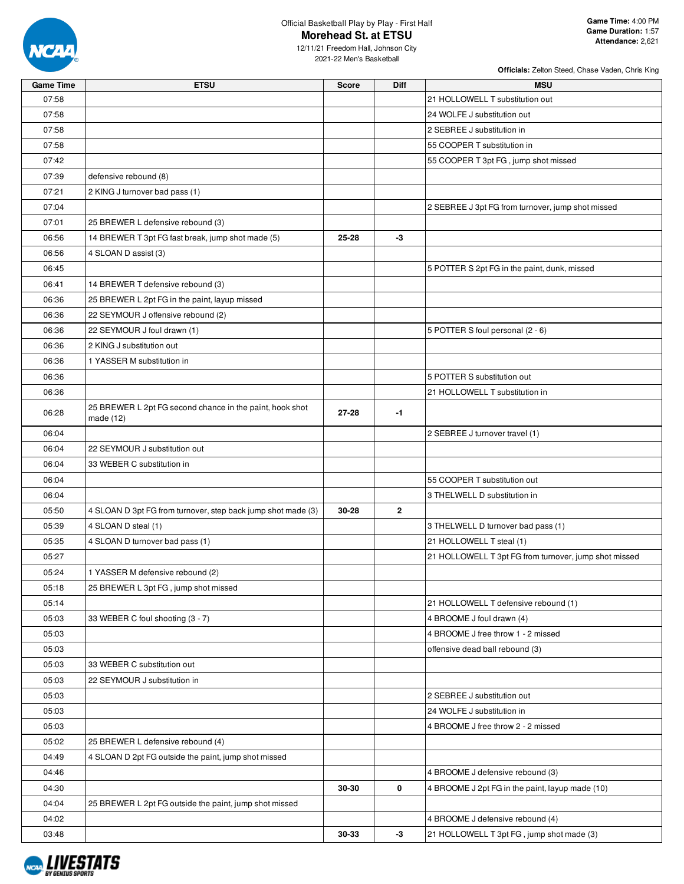

**Officials:** Zelton Steed, Chase Vaden, Chris King

12/11/21 Freedom Hall, Johnson City 2021-22 Men's Basketball

| <b>Game Time</b> | <b>ETSU</b>                                                             | <b>Score</b> | Diff         | <b>MSU</b>                                            |
|------------------|-------------------------------------------------------------------------|--------------|--------------|-------------------------------------------------------|
| 07:58            |                                                                         |              |              | 21 HOLLOWELL T substitution out                       |
| 07:58            |                                                                         |              |              | 24 WOLFE J substitution out                           |
| 07:58            |                                                                         |              |              | 2 SEBREE J substitution in                            |
| 07:58            |                                                                         |              |              | 55 COOPER T substitution in                           |
| 07:42            |                                                                         |              |              | 55 COOPER T 3pt FG, jump shot missed                  |
| 07:39            | defensive rebound (8)                                                   |              |              |                                                       |
| 07:21            | 2 KING J turnover bad pass (1)                                          |              |              |                                                       |
| 07:04            |                                                                         |              |              | 2 SEBREE J 3pt FG from turnover, jump shot missed     |
| 07:01            | 25 BREWER L defensive rebound (3)                                       |              |              |                                                       |
| 06:56            | 14 BREWER T 3pt FG fast break, jump shot made (5)                       | 25-28        | -3           |                                                       |
| 06:56            | 4 SLOAN D assist (3)                                                    |              |              |                                                       |
| 06:45            |                                                                         |              |              | 5 POTTER S 2pt FG in the paint, dunk, missed          |
| 06:41            | 14 BREWER T defensive rebound (3)                                       |              |              |                                                       |
| 06:36            | 25 BREWER L 2pt FG in the paint, layup missed                           |              |              |                                                       |
| 06:36            | 22 SEYMOUR J offensive rebound (2)                                      |              |              |                                                       |
| 06:36            | 22 SEYMOUR J foul drawn (1)                                             |              |              | 5 POTTER S foul personal (2 - 6)                      |
| 06:36            | 2 KING J substitution out                                               |              |              |                                                       |
| 06:36            | 1 YASSER M substitution in                                              |              |              |                                                       |
| 06:36            |                                                                         |              |              | 5 POTTER S substitution out                           |
| 06:36            |                                                                         |              |              | 21 HOLLOWELL T substitution in                        |
| 06:28            | 25 BREWER L 2pt FG second chance in the paint, hook shot<br>made $(12)$ | 27-28        | $-1$         |                                                       |
| 06:04            |                                                                         |              |              | 2 SEBREE J turnover travel (1)                        |
| 06:04            | 22 SEYMOUR J substitution out                                           |              |              |                                                       |
| 06:04            | 33 WEBER C substitution in                                              |              |              |                                                       |
| 06:04            |                                                                         |              |              | 55 COOPER T substitution out                          |
| 06:04            |                                                                         |              |              | 3 THELWELL D substitution in                          |
| 05:50            | 4 SLOAN D 3pt FG from turnover, step back jump shot made (3)            | 30-28        | $\mathbf{2}$ |                                                       |
| 05:39            | 4 SLOAN D steal (1)                                                     |              |              | 3 THELWELL D turnover bad pass (1)                    |
| 05:35            | 4 SLOAN D turnover bad pass (1)                                         |              |              | 21 HOLLOWELL T steal (1)                              |
| 05:27            |                                                                         |              |              | 21 HOLLOWELL T 3pt FG from turnover, jump shot missed |
| 05:24            | 1 YASSER M defensive rebound (2)                                        |              |              |                                                       |
| 05:18            | 25 BREWER L 3pt FG, jump shot missed                                    |              |              |                                                       |
| 05:14            |                                                                         |              |              | 21 HOLLOWELL T defensive rebound (1)                  |
| 05:03            | 33 WEBER C foul shooting (3 - 7)                                        |              |              | 4 BROOME J foul drawn (4)                             |
| 05:03            |                                                                         |              |              | 4 BROOME J free throw 1 - 2 missed                    |
| 05:03            |                                                                         |              |              | offensive dead ball rebound (3)                       |
| 05:03            | 33 WEBER C substitution out                                             |              |              |                                                       |
| 05:03            | 22 SEYMOUR J substitution in                                            |              |              |                                                       |
| 05:03            |                                                                         |              |              | 2 SEBREE J substitution out                           |
| 05:03            |                                                                         |              |              | 24 WOLFE J substitution in                            |
| 05:03            |                                                                         |              |              | 4 BROOME J free throw 2 - 2 missed                    |
| 05:02            | 25 BREWER L defensive rebound (4)                                       |              |              |                                                       |
| 04:49            | 4 SLOAN D 2pt FG outside the paint, jump shot missed                    |              |              |                                                       |
| 04:46            |                                                                         |              |              | 4 BROOME J defensive rebound (3)                      |
| 04:30            |                                                                         | 30-30        | 0            | 4 BROOME J 2pt FG in the paint, layup made (10)       |
| 04:04            | 25 BREWER L 2pt FG outside the paint, jump shot missed                  |              |              |                                                       |
| 04:02            |                                                                         |              |              | 4 BROOME J defensive rebound (4)                      |
| 03:48            |                                                                         | 30-33        | $-3$         | 21 HOLLOWELL T 3pt FG, jump shot made (3)             |

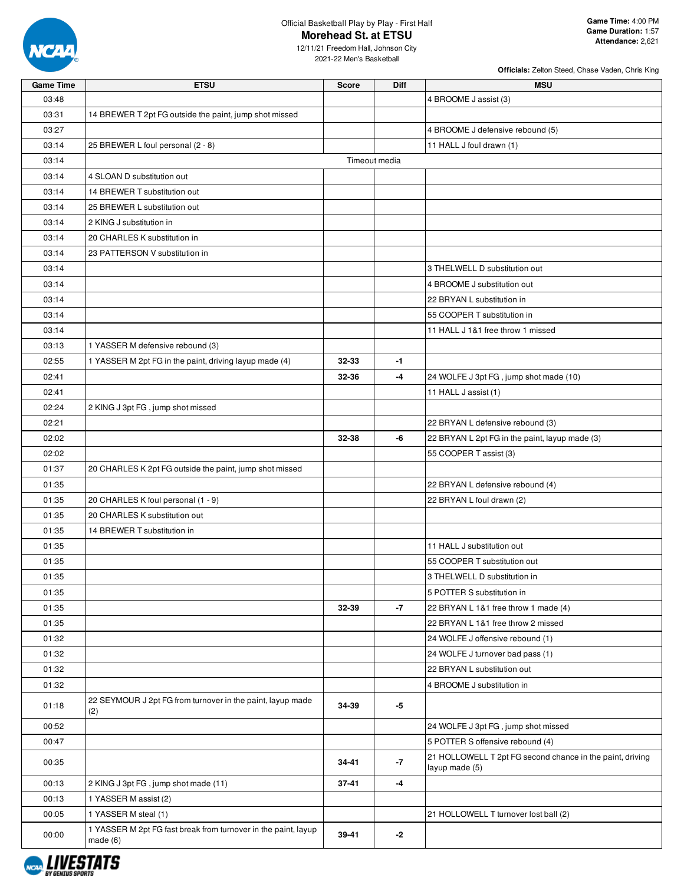

**Officials:** Zelton Steed, Chase Vaden, Chris King

12/11/21 Freedom Hall, Johnson City 2021-22 Men's Basketball

| <b>Game Time</b> | <b>ETSU</b>                                                                | <b>Score</b> | Diff          | <b>MSU</b>                                                                  |
|------------------|----------------------------------------------------------------------------|--------------|---------------|-----------------------------------------------------------------------------|
| 03:48            |                                                                            |              |               | 4 BROOME J assist (3)                                                       |
| 03:31            | 14 BREWER T 2pt FG outside the paint, jump shot missed                     |              |               |                                                                             |
| 03:27            |                                                                            |              |               | 4 BROOME J defensive rebound (5)                                            |
| 03:14            | 25 BREWER L foul personal (2 - 8)                                          |              |               | 11 HALL J foul drawn (1)                                                    |
| 03:14            |                                                                            |              | Timeout media |                                                                             |
| 03:14            | 4 SLOAN D substitution out                                                 |              |               |                                                                             |
| 03:14            | 14 BREWER T substitution out                                               |              |               |                                                                             |
| 03:14            | 25 BREWER L substitution out                                               |              |               |                                                                             |
| 03:14            | 2 KING J substitution in                                                   |              |               |                                                                             |
| 03:14            | 20 CHARLES K substitution in                                               |              |               |                                                                             |
| 03:14            | 23 PATTERSON V substitution in                                             |              |               |                                                                             |
| 03:14            |                                                                            |              |               | 3 THELWELL D substitution out                                               |
| 03:14            |                                                                            |              |               | 4 BROOME J substitution out                                                 |
| 03:14            |                                                                            |              |               | 22 BRYAN L substitution in                                                  |
| 03:14            |                                                                            |              |               | 55 COOPER T substitution in                                                 |
| 03:14            |                                                                            |              |               | 11 HALL J 1&1 free throw 1 missed                                           |
| 03:13            | 1 YASSER M defensive rebound (3)                                           |              |               |                                                                             |
| 02:55            | 1 YASSER M 2pt FG in the paint, driving layup made (4)                     | 32-33        | $-1$          |                                                                             |
| 02:41            |                                                                            | 32-36        | -4            | 24 WOLFE J 3pt FG, jump shot made (10)                                      |
| 02:41            |                                                                            |              |               | 11 HALL J assist (1)                                                        |
| 02:24            | 2 KING J 3pt FG, jump shot missed                                          |              |               |                                                                             |
| 02:21            |                                                                            |              |               | 22 BRYAN L defensive rebound (3)                                            |
| 02:02            |                                                                            | 32-38        | -6            | 22 BRYAN L 2pt FG in the paint, layup made (3)                              |
| 02:02            |                                                                            |              |               | 55 COOPER T assist (3)                                                      |
| 01:37            | 20 CHARLES K 2pt FG outside the paint, jump shot missed                    |              |               |                                                                             |
| 01:35            |                                                                            |              |               | 22 BRYAN L defensive rebound (4)                                            |
| 01:35            | 20 CHARLES K foul personal (1 - 9)                                         |              |               | 22 BRYAN L foul drawn (2)                                                   |
| 01:35            | 20 CHARLES K substitution out                                              |              |               |                                                                             |
| 01:35            | 14 BREWER T substitution in                                                |              |               |                                                                             |
| 01:35            |                                                                            |              |               | 11 HALL J substitution out                                                  |
| 01:35            |                                                                            |              |               | 55 COOPER T substitution out                                                |
| 01:35            |                                                                            |              |               | 3 THELWELL D substitution in                                                |
| 01:35            |                                                                            |              |               | 5 POTTER S substitution in                                                  |
| 01:35            |                                                                            | 32-39        | $-7$          | 22 BRYAN L 1&1 free throw 1 made (4)                                        |
| 01:35            |                                                                            |              |               | 22 BRYAN L 1&1 free throw 2 missed                                          |
| 01:32            |                                                                            |              |               | 24 WOLFE J offensive rebound (1)                                            |
| 01:32            |                                                                            |              |               | 24 WOLFE J turnover bad pass (1)                                            |
| 01:32            |                                                                            |              |               | 22 BRYAN L substitution out                                                 |
| 01:32            |                                                                            |              |               | 4 BROOME J substitution in                                                  |
|                  | 22 SEYMOUR J 2pt FG from turnover in the paint, layup made                 | 34-39        |               |                                                                             |
| 01:18            | (2)                                                                        |              | -5            |                                                                             |
| 00:52            |                                                                            |              |               | 24 WOLFE J 3pt FG, jump shot missed                                         |
| 00:47            |                                                                            |              |               | 5 POTTER S offensive rebound (4)                                            |
| 00:35            |                                                                            | 34-41        | $-7$          | 21 HOLLOWELL T 2pt FG second chance in the paint, driving<br>layup made (5) |
| 00:13            | 2 KING J 3pt FG, jump shot made (11)                                       | 37-41        | -4            |                                                                             |
| 00:13            | 1 YASSER M assist (2)                                                      |              |               |                                                                             |
| 00:05            | 1 YASSER M steal (1)                                                       |              |               | 21 HOLLOWELL T turnover lost ball (2)                                       |
| 00:00            | 1 YASSER M 2pt FG fast break from turnover in the paint, layup<br>made (6) | 39-41        | -2            |                                                                             |

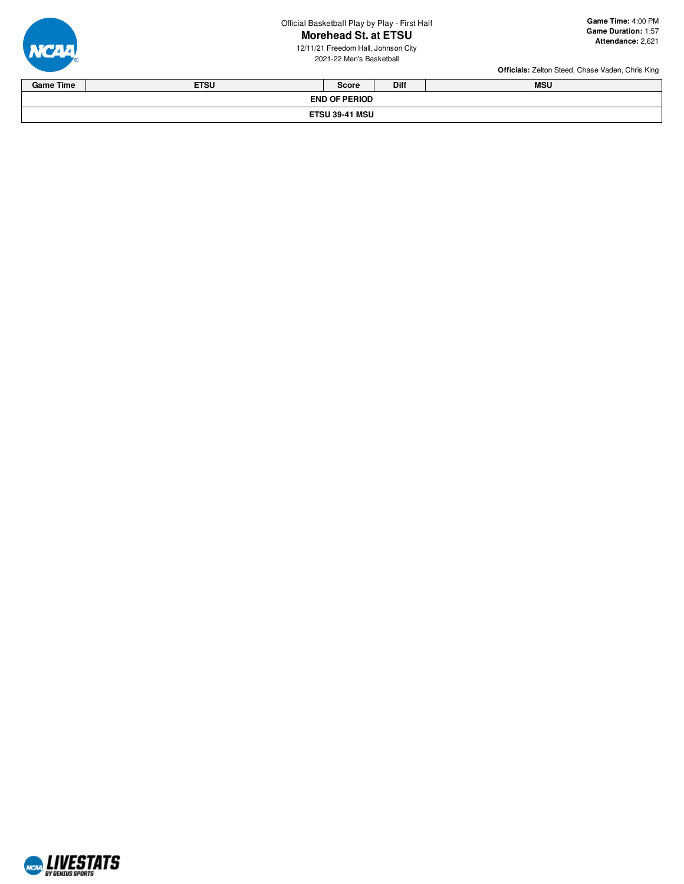Official Basketball Play by Play - First Half r - First Half **Ga**<br> **TSU** Ga<br>
son City<br>
all

# **Morehead St. at ETSU**

12/11/21 Freedom Hall, Johnson City 2021-22 Men's Basketba



| <b>Game Time</b>      | <b>ETSU</b> | <b>Score</b> | Diff | <b>MSU</b> |  |  |  |  |
|-----------------------|-------------|--------------|------|------------|--|--|--|--|
| <b>END OF PERIOD</b>  |             |              |      |            |  |  |  |  |
| <b>ETSU 39-41 MSU</b> |             |              |      |            |  |  |  |  |

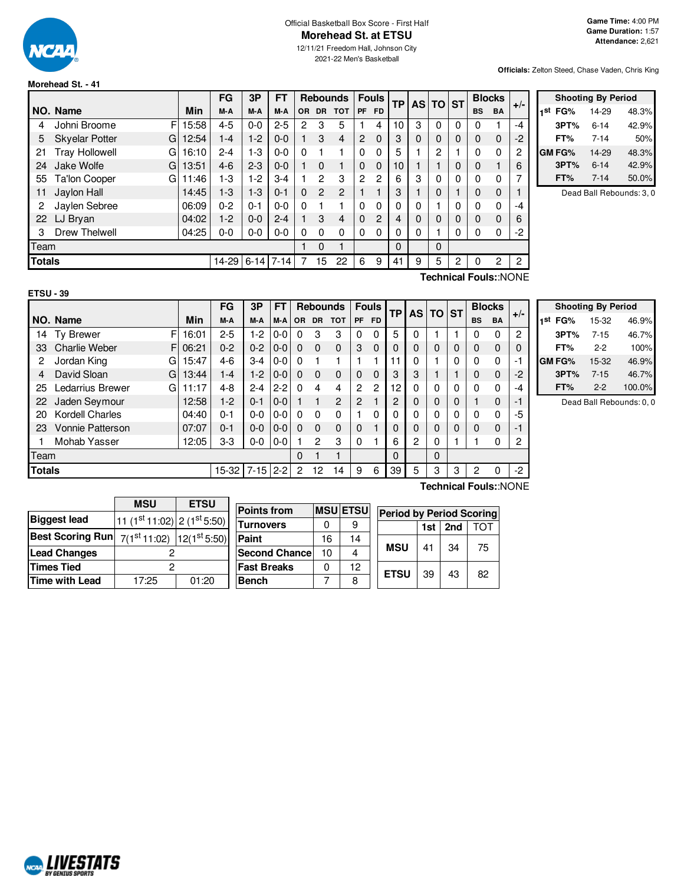

## Official Basketball Box Score - First Half **Morehead St. at ETSU**

12/11/21 Freedom Hall, Johnson City 2021-22 Men's Basketball

**Officials:** Zelton Steed, Chase Vaden, Chris King

## **Morehead St. - 41**

|               |                            |       | FG        | 3P       | FT       |          |                | <b>Rebounds</b> | <b>Fouls</b><br>ТP |              |          | AS TO ST |   |   | <b>Blocks</b> | $+/-$       |                |
|---------------|----------------------------|-------|-----------|----------|----------|----------|----------------|-----------------|--------------------|--------------|----------|----------|---|---|---------------|-------------|----------------|
|               | NO. Name                   | Min   | M-A       | M-A      | M-A      | OR.      |                | DR TOT          | <b>PF</b>          | FD.          |          |          |   |   | <b>BS</b>     | <b>BA</b>   |                |
| 4             | F<br>Johni Broome          | 15:58 | $4 - 5$   | $0-0$    | $2 - 5$  | 2        | 3              | 5               |                    | 4            | 10       | 3        | 0 | 0 | $\Omega$      |             | $-4$           |
| 5             | <b>Skyelar Potter</b><br>G | 12:54 | 1-4       | $1-2$    | $0 - 0$  |          | 3              | $\overline{4}$  | $\overline{2}$     | $\Omega$     | 3        | 0        | 0 | 0 | $\Omega$      | $\mathbf 0$ | $-2$           |
| 21            | <b>Tray Hollowell</b><br>G | 16:10 | $2 - 4$   | 1-3      | $0 - 0$  | 0        |                |                 | 0                  | 0            | 5        |          | 2 |   | 0             | $\Omega$    | 2              |
| 24            | Jake Wolfe<br>G            | 13:51 | $4-6$     | $2 - 3$  | $0 - 0$  |          | $\Omega$       |                 | $\Omega$           | 0            | 10       |          |   | 0 | $\Omega$      |             | 6              |
| 55            | <b>Ta'lon Cooper</b><br>G  | 11:46 | $1 - 3$   | 1-2      | $3 - 4$  |          | $\overline{c}$ | 3               | 2                  | $\mathbf{2}$ | 6        | 3        | 0 | 0 | $\Omega$      | 0           | 7              |
| 11            | Jaylon Hall                | 14:45 | $1-3$     | 1-3      | $0 - 1$  | $\Omega$ | $\overline{2}$ | $\overline{2}$  |                    |              | 3        |          | 0 |   | 0             | $\Omega$    |                |
| 2             | Jaylen Sebree              | 06:09 | $0 - 2$   | $0 - 1$  | $0 - 0$  | $\Omega$ |                |                 | 0                  | 0            | 0        | 0        |   | 0 | $\Omega$      | $\Omega$    | $-4$           |
| 22            | LJ Bryan                   | 04:02 | $1-2$     | $0-0$    | $2 - 4$  |          | 3              | 4               | $\Omega$           | 2            | 4        | 0        | 0 | 0 | $\Omega$      | $\Omega$    | 6              |
| 3             | <b>Drew Thelwell</b>       | 04:25 | $0 - 0$   | $0-0$    | $0 - 0$  | $\Omega$ | $\Omega$       | 0               | 0                  | 0            | $\Omega$ | 0        |   | 0 | $\Omega$      | 0           | $-2$           |
| Team          |                            |       |           |          |          |          | $\Omega$       |                 |                    |              | $\Omega$ |          | 0 |   |               |             |                |
| <b>Totals</b> |                            |       | $14 - 29$ | $6 - 14$ | $7 - 14$ |          | 15             | 22              | 6                  | 9            | 41       | 9        | 5 | 2 | $\Omega$      | 2           | $\overline{2}$ |

| <b>Shooting By Period</b> |          |       |  |  |  |  |  |  |
|---------------------------|----------|-------|--|--|--|--|--|--|
| 1st<br>FG%                | 14-29    | 48.3% |  |  |  |  |  |  |
| 3PT%                      | $6 - 14$ | 42.9% |  |  |  |  |  |  |
| FT%                       | $7 - 14$ | 50%   |  |  |  |  |  |  |
| <b>GM FG%</b>             | 14-29    | 48.3% |  |  |  |  |  |  |
| 3PT%                      | $6 - 14$ | 42.9% |  |  |  |  |  |  |
| FT%                       | $7 - 14$ | 50.0% |  |  |  |  |  |  |

Dead Ball Rebounds: 3, 0

**Technical Fouls:**:NONE

|               |                            |       | FG      | 3Р         | FT      |           |                | <b>Rebounds</b> |                | <b>Fouls</b>   | <b>TP</b> |                | ΤO       | <b>ST</b> |           | <b>Blocks</b> | $+/-$          |
|---------------|----------------------------|-------|---------|------------|---------|-----------|----------------|-----------------|----------------|----------------|-----------|----------------|----------|-----------|-----------|---------------|----------------|
|               | NO. Name                   | Min   | M-A     | M-A        | M-A     | <b>OR</b> | <b>DR</b>      | <b>TOT</b>      | PF             | FD.            |           | <b>AS</b>      |          |           | <b>BS</b> | <b>BA</b>     |                |
| 14            | F<br><b>Tv Brewer</b>      | 16:01 | $2 - 5$ | 1-2        | $0-0$   | 0         | 3              | 3               | 0              | $\Omega$       | 5         | 0              |          |           | 0         | 0             | $\overline{c}$ |
| 33            | <b>Charlie Weber</b><br>FI | 06:21 | $0 - 2$ | $0 - 2$    | $0 - 0$ | $\Omega$  | $\Omega$       | $\Omega$        | 3              | 0              |           | 0              | 0        | 0         | 0         | 0             | 0              |
| 2             | Jordan King<br>G           | 15:47 | $4-6$   | $3 - 4$    | $0-0$   | $\Omega$  |                |                 |                | 1              | 11        | 0              |          | 0         | 0         | 0             | -1             |
| 4             | David Sloan<br>Gl          | 13:44 | $1 - 4$ | $1-2$      | $0 - 0$ | $\Omega$  | $\Omega$       | $\Omega$        | $\Omega$       | $\Omega$       | 3         | 3              |          |           | 0         | $\mathbf 0$   | $-2$           |
| 25            | Ledarrius Brewer<br>G      | 11:17 | $4 - 8$ | $2 - 4$    | $2 - 2$ | $\Omega$  | 4              | 4               | $\overline{c}$ | $\overline{2}$ | 12        | 0              | 0        | 0         | 0         | 0             | -4             |
| 22            | Jaden Seymour              | 12:58 | $1-2$   | $0 - 1$    | $0 - 0$ |           |                | $\overline{2}$  | 2              |                | 2         | 0              | 0        | 0         |           | $\mathbf 0$   | $-1$           |
| 20            | <b>Kordell Charles</b>     | 04:40 | $0 - 1$ | $0 - 0$    | $0-0$   | $\Omega$  | 0              | $\mathbf{0}$    |                | 0              | 0         | 0              | $\Omega$ | 0         | 0         | 0             | -5             |
| 23            | <b>Vonnie Patterson</b>    | 07:07 | $0 - 1$ | $0 - 0$    | $0 - 0$ | $\Omega$  | $\Omega$       | 0               | 0              |                |           | 0              | $\Omega$ | 0         | 0         | 0             | -1             |
|               | Mohab Yasser               | 12:05 | $3-3$   | $0-0$      | $0-0$   |           | $\overline{c}$ | 3               | 0              |                | 6         | $\overline{2}$ | 0        |           |           | 0             | 2              |
| Team          |                            |       |         |            |         | $\Omega$  |                | 1               |                |                | $\Omega$  |                | $\Omega$ |           |           |               |                |
| <b>Totals</b> |                            |       | 15-32   | $7-15$ 2-2 |         | 2         | 12             | 14              | 9              | 6              | 39        | 5              | 3        | 3         | 2         | 0             | $-2$           |

|     | <b>Shooting By Period</b> |          |        |  |  |  |  |  |  |
|-----|---------------------------|----------|--------|--|--|--|--|--|--|
| 1st | FG%                       | 15-32    | 46.9%  |  |  |  |  |  |  |
|     | 3PT%                      | $7 - 15$ | 46.7%  |  |  |  |  |  |  |
|     | FT%                       | $2-2$    | 100%   |  |  |  |  |  |  |
|     | GM FG%                    | 15-32    | 46.9%  |  |  |  |  |  |  |
|     | 3PT%                      | $7 - 15$ | 46.7%  |  |  |  |  |  |  |
|     | FT%                       | $2 - 2$  | 100.0% |  |  |  |  |  |  |

Dead Ball Rebounds: 0, 0

|                                                             | <b>MSU</b>                      | <b>ETSU</b> | Pc |  |  |  |
|-------------------------------------------------------------|---------------------------------|-------------|----|--|--|--|
| <b>Biggest lead</b>                                         | 11 $(1st 11:02)$ 2 $(1st 5:50)$ |             | Γu |  |  |  |
| <b>Best Scoring Run</b> $7(1^{st}11:02)$ $ 12(1^{st}5:50) $ |                                 |             | Pa |  |  |  |
| <b>Lead Changes</b>                                         |                                 |             |    |  |  |  |
| <b>Times Tied</b>                                           |                                 |             |    |  |  |  |
| Time with Lead                                              | 17:25                           | 01:20       | Bε |  |  |  |

NCAL LIVESTATS

| <b>Points from</b>   |          | <b>MSULETSUL</b> | <b>Period by Period Scoring</b> |     |     |     |  |  |
|----------------------|----------|------------------|---------------------------------|-----|-----|-----|--|--|
| Turnovers            |          |                  |                                 | 1st | 2nd | TOT |  |  |
| Paint                | 16<br>14 |                  |                                 |     |     |     |  |  |
| <b>Second Chance</b> | 10       |                  | <b>MSU</b>                      | 41  | 34  | 75  |  |  |
| <b>Fast Breaks</b>   |          | 12               | <b>ETSU</b>                     | 39  |     | 82  |  |  |
| Bench                |          |                  |                                 |     | 43  |     |  |  |

**Technical Fouls:**:NONE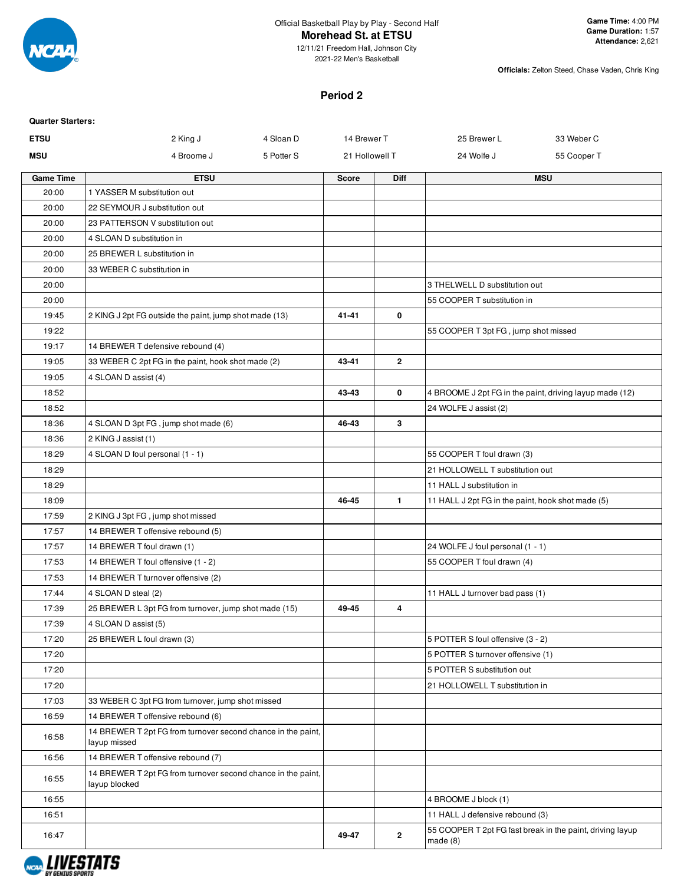

2021-22 Men's Basketball

**Officials:** Zelton Steed, Chase Vaden, Chris King

## **Period 2**

| <b>Quarter Starters:</b> |                                                                               |            |                |              |                                                   |                                                           |
|--------------------------|-------------------------------------------------------------------------------|------------|----------------|--------------|---------------------------------------------------|-----------------------------------------------------------|
| <b>ETSU</b>              | 2 King J                                                                      | 4 Sloan D  | 14 Brewer T    |              | 25 Brewer L                                       | 33 Weber C                                                |
| <b>MSU</b>               | 4 Broome J                                                                    | 5 Potter S | 21 Hollowell T |              | 24 Wolfe J                                        | 55 Cooper T                                               |
| <b>Game Time</b>         | <b>ETSU</b>                                                                   |            | <b>Score</b>   | Diff         |                                                   | <b>MSU</b>                                                |
| 20:00                    | 1 YASSER M substitution out                                                   |            |                |              |                                                   |                                                           |
| 20:00                    | 22 SEYMOUR J substitution out                                                 |            |                |              |                                                   |                                                           |
| 20:00                    | 23 PATTERSON V substitution out                                               |            |                |              |                                                   |                                                           |
| 20:00                    | 4 SLOAN D substitution in                                                     |            |                |              |                                                   |                                                           |
| 20:00                    | 25 BREWER L substitution in                                                   |            |                |              |                                                   |                                                           |
| 20:00                    | 33 WEBER C substitution in                                                    |            |                |              |                                                   |                                                           |
| 20:00                    |                                                                               |            |                |              | 3 THELWELL D substitution out                     |                                                           |
| 20:00                    |                                                                               |            |                |              | 55 COOPER T substitution in                       |                                                           |
| 19:45                    | 2 KING J 2pt FG outside the paint, jump shot made (13)                        |            | $41 - 41$      | 0            |                                                   |                                                           |
| 19:22                    |                                                                               |            |                |              | 55 COOPER T 3pt FG, jump shot missed              |                                                           |
| 19:17                    | 14 BREWER T defensive rebound (4)                                             |            |                |              |                                                   |                                                           |
| 19:05                    | 33 WEBER C 2pt FG in the paint, hook shot made (2)                            |            | 43-41          | $\mathbf{2}$ |                                                   |                                                           |
| 19:05                    | 4 SLOAN D assist (4)                                                          |            |                |              |                                                   |                                                           |
| 18:52                    |                                                                               |            | 43-43          | 0            |                                                   | 4 BROOME J 2pt FG in the paint, driving layup made (12)   |
| 18:52                    |                                                                               |            |                |              | 24 WOLFE J assist (2)                             |                                                           |
| 18:36                    | 4 SLOAN D 3pt FG, jump shot made (6)                                          |            | 46-43          | 3            |                                                   |                                                           |
| 18:36                    | 2 KING J assist (1)                                                           |            |                |              |                                                   |                                                           |
| 18:29                    | 4 SLOAN D foul personal (1 - 1)                                               |            |                |              | 55 COOPER T foul drawn (3)                        |                                                           |
| 18:29                    |                                                                               |            |                |              | 21 HOLLOWELL T substitution out                   |                                                           |
| 18:29                    |                                                                               |            |                |              | 11 HALL J substitution in                         |                                                           |
| 18:09                    |                                                                               |            | 46-45          | $\mathbf{1}$ | 11 HALL J 2pt FG in the paint, hook shot made (5) |                                                           |
| 17:59                    | 2 KING J 3pt FG, jump shot missed                                             |            |                |              |                                                   |                                                           |
| 17:57                    | 14 BREWER T offensive rebound (5)                                             |            |                |              |                                                   |                                                           |
| 17:57                    | 14 BREWER T foul drawn (1)                                                    |            |                |              | 24 WOLFE J foul personal (1 - 1)                  |                                                           |
| 17:53                    | 14 BREWER T foul offensive (1 - 2)                                            |            |                |              | 55 COOPER T foul drawn (4)                        |                                                           |
| 17:53                    | 14 BREWER T turnover offensive (2)                                            |            |                |              |                                                   |                                                           |
| 17:44                    | 4 SLOAN D steal (2)                                                           |            |                |              | 11 HALL J turnover bad pass (1)                   |                                                           |
| 17:39                    | 25 BREWER L 3pt FG from turnover, jump shot made (15)                         |            | 49-45          | 4            |                                                   |                                                           |
| 17:39                    | 4 SLOAN D assist (5)                                                          |            |                |              |                                                   |                                                           |
| 17:20                    | 25 BREWER L foul drawn (3)                                                    |            |                |              | 5 POTTER S foul offensive (3 - 2)                 |                                                           |
| 17:20                    |                                                                               |            |                |              | 5 POTTER S turnover offensive (1)                 |                                                           |
| 17:20                    |                                                                               |            |                |              | 5 POTTER S substitution out                       |                                                           |
| 17:20                    |                                                                               |            |                |              | 21 HOLLOWELL T substitution in                    |                                                           |
| 17:03                    | 33 WEBER C 3pt FG from turnover, jump shot missed                             |            |                |              |                                                   |                                                           |
| 16:59                    | 14 BREWER T offensive rebound (6)                                             |            |                |              |                                                   |                                                           |
| 16:58                    | 14 BREWER T 2pt FG from turnover second chance in the paint,<br>layup missed  |            |                |              |                                                   |                                                           |
| 16:56                    | 14 BREWER T offensive rebound (7)                                             |            |                |              |                                                   |                                                           |
| 16:55                    | 14 BREWER T 2pt FG from turnover second chance in the paint,<br>layup blocked |            |                |              |                                                   |                                                           |
| 16:55                    |                                                                               |            |                |              | 4 BROOME J block (1)                              |                                                           |
| 16:51                    |                                                                               |            |                |              | 11 HALL J defensive rebound (3)                   |                                                           |
| 16:47                    |                                                                               |            | 49-47          | $\mathbf{2}$ | made(8)                                           | 55 COOPER T 2pt FG fast break in the paint, driving layup |

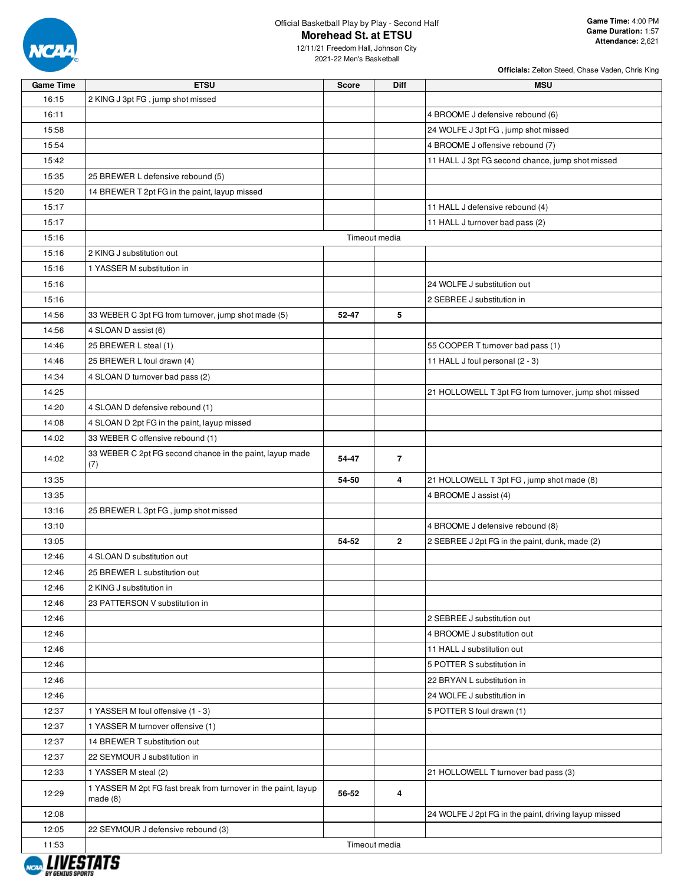

12/11/21 Freedom Hall, Johnson City 2021-22 Men's Basketball

| Game Time | <b>ETSU</b>                                                     | Score | Diff           | <b>MSU</b>                                            |
|-----------|-----------------------------------------------------------------|-------|----------------|-------------------------------------------------------|
| 16:15     | 2 KING J 3pt FG, jump shot missed                               |       |                |                                                       |
| 16:11     |                                                                 |       |                | 4 BROOME J defensive rebound (6)                      |
| 15:58     |                                                                 |       |                | 24 WOLFE J 3pt FG, jump shot missed                   |
| 15:54     |                                                                 |       |                | 4 BROOME J offensive rebound (7)                      |
| 15:42     |                                                                 |       |                | 11 HALL J 3pt FG second chance, jump shot missed      |
| 15:35     | 25 BREWER L defensive rebound (5)                               |       |                |                                                       |
| 15:20     | 14 BREWER T 2pt FG in the paint, layup missed                   |       |                |                                                       |
| 15:17     |                                                                 |       |                | 11 HALL J defensive rebound (4)                       |
| 15:17     |                                                                 |       |                | 11 HALL J turnover bad pass (2)                       |
| 15:16     |                                                                 |       | Timeout media  |                                                       |
| 15:16     | 2 KING J substitution out                                       |       |                |                                                       |
| 15:16     | 1 YASSER M substitution in                                      |       |                |                                                       |
| 15:16     |                                                                 |       |                | 24 WOLFE J substitution out                           |
| 15:16     |                                                                 |       |                | 2 SEBREE J substitution in                            |
| 14:56     | 33 WEBER C 3pt FG from turnover, jump shot made (5)             | 52-47 | 5              |                                                       |
| 14:56     | 4 SLOAN D assist (6)                                            |       |                |                                                       |
| 14:46     | 25 BREWER L steal (1)                                           |       |                | 55 COOPER T turnover bad pass (1)                     |
| 14:46     | 25 BREWER L foul drawn (4)                                      |       |                | 11 HALL J foul personal (2 - 3)                       |
| 14:34     | 4 SLOAN D turnover bad pass (2)                                 |       |                |                                                       |
| 14:25     |                                                                 |       |                | 21 HOLLOWELL T 3pt FG from turnover, jump shot missed |
| 14:20     | 4 SLOAN D defensive rebound (1)                                 |       |                |                                                       |
| 14:08     | 4 SLOAN D 2pt FG in the paint, layup missed                     |       |                |                                                       |
| 14:02     | 33 WEBER C offensive rebound (1)                                |       |                |                                                       |
| 14:02     | 33 WEBER C 2pt FG second chance in the paint, layup made<br>(7) | 54-47 | $\overline{7}$ |                                                       |
| 13:35     |                                                                 | 54-50 | 4              | 21 HOLLOWELL T 3pt FG, jump shot made (8)             |
| 13:35     |                                                                 |       |                | 4 BROOME J assist (4)                                 |
| 13:16     | 25 BREWER L 3pt FG, jump shot missed                            |       |                |                                                       |
| 13:10     |                                                                 |       |                | 4 BROOME J defensive rebound (8)                      |
| 13:05     |                                                                 | 54-52 | $\mathbf{2}$   | 2 SEBREE J 2pt FG in the paint, dunk, made (2)        |
| 12:46     | 4 SLOAN D substitution out                                      |       |                |                                                       |
| 12:46     | 25 BREWER L substitution out                                    |       |                |                                                       |
| 12:46     | 2 KING J substitution in                                        |       |                |                                                       |
| 12:46     | 23 PATTERSON V substitution in                                  |       |                |                                                       |
| 12:46     |                                                                 |       |                | 2 SEBREE J substitution out                           |
| 12:46     |                                                                 |       |                | 4 BROOME J substitution out                           |
| 12:46     |                                                                 |       |                | 11 HALL J substitution out                            |
| 12:46     |                                                                 |       |                | 5 POTTER S substitution in                            |
| 12:46     |                                                                 |       |                | 22 BRYAN L substitution in                            |
| 12:46     |                                                                 |       |                | 24 WOLFE J substitution in                            |
| 12:37     | 1 YASSER M foul offensive (1 - 3)                               |       |                | 5 POTTER S foul drawn (1)                             |
| 12:37     | 1 YASSER M turnover offensive (1)                               |       |                |                                                       |
| 12:37     | 14 BREWER T substitution out                                    |       |                |                                                       |
| 12:37     | 22 SEYMOUR J substitution in                                    |       |                |                                                       |
| 12:33     | 1 YASSER M steal (2)                                            |       |                | 21 HOLLOWELL T turnover bad pass (3)                  |
| 12:29     | 1 YASSER M 2pt FG fast break from turnover in the paint, layup  | 56-52 | 4              |                                                       |
|           | made(8)                                                         |       |                |                                                       |
| 12:08     |                                                                 |       |                | 24 WOLFE J 2pt FG in the paint, driving layup missed  |
| 12:05     | 22 SEYMOUR J defensive rebound (3)                              |       |                |                                                       |
| 11:53     |                                                                 |       | Timeout media  |                                                       |

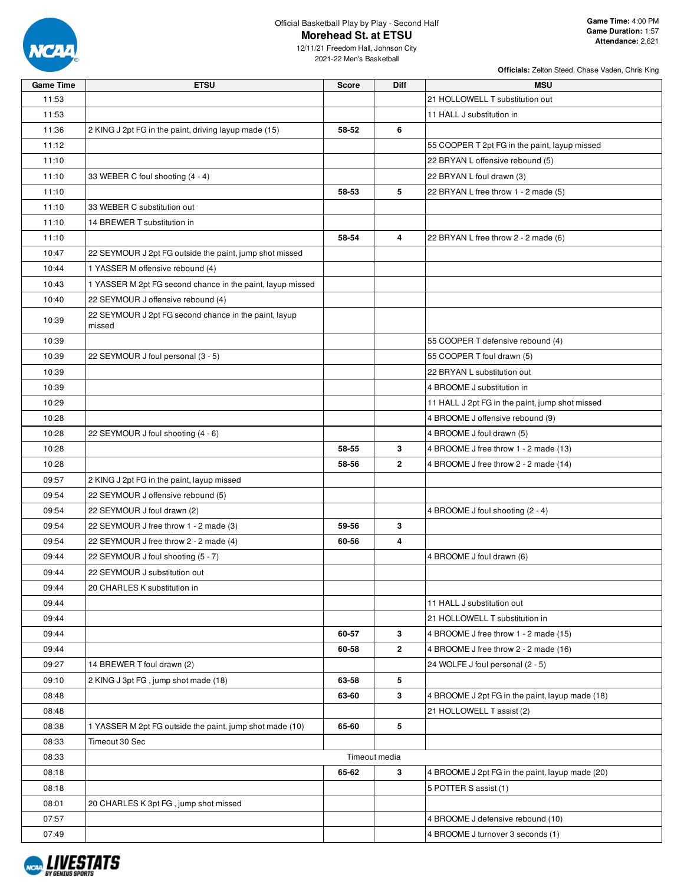

12/11/21 Freedom Hall, Johnson City 2021-22 Men's Basketball

| <b>Game Time</b> | <b>ETSU</b>                                                     | <b>Score</b> | <b>Diff</b>    | <b>MSU</b>                                      |
|------------------|-----------------------------------------------------------------|--------------|----------------|-------------------------------------------------|
| 11:53            |                                                                 |              |                | 21 HOLLOWELL T substitution out                 |
| 11:53            |                                                                 |              |                | 11 HALL J substitution in                       |
| 11:36            | 2 KING J 2pt FG in the paint, driving layup made (15)           | 58-52        | 6              |                                                 |
| 11:12            |                                                                 |              |                | 55 COOPER T 2pt FG in the paint, layup missed   |
| 11:10            |                                                                 |              |                | 22 BRYAN L offensive rebound (5)                |
| 11:10            | 33 WEBER C foul shooting (4 - 4)                                |              |                | 22 BRYAN L foul drawn (3)                       |
| 11:10            |                                                                 | 58-53        | 5              | 22 BRYAN L free throw 1 - 2 made (5)            |
| 11:10            | 33 WEBER C substitution out                                     |              |                |                                                 |
| 11:10            | 14 BREWER T substitution in                                     |              |                |                                                 |
| 11:10            |                                                                 | 58-54        | 4              | 22 BRYAN L free throw 2 - 2 made (6)            |
| 10:47            | 22 SEYMOUR J 2pt FG outside the paint, jump shot missed         |              |                |                                                 |
| 10:44            | 1 YASSER M offensive rebound (4)                                |              |                |                                                 |
| 10:43            | 1 YASSER M 2pt FG second chance in the paint, layup missed      |              |                |                                                 |
| 10:40            | 22 SEYMOUR J offensive rebound (4)                              |              |                |                                                 |
| 10:39            | 22 SEYMOUR J 2pt FG second chance in the paint, layup<br>missed |              |                |                                                 |
| 10:39            |                                                                 |              |                | 55 COOPER T defensive rebound (4)               |
| 10:39            | 22 SEYMOUR J foul personal (3 - 5)                              |              |                | 55 COOPER T foul drawn (5)                      |
| 10:39            |                                                                 |              |                | 22 BRYAN L substitution out                     |
| 10:39            |                                                                 |              |                | 4 BROOME J substitution in                      |
| 10:29            |                                                                 |              |                | 11 HALL J 2pt FG in the paint, jump shot missed |
| 10:28            |                                                                 |              |                | 4 BROOME J offensive rebound (9)                |
| 10:28            | 22 SEYMOUR J foul shooting (4 - 6)                              |              |                | 4 BROOME J foul drawn (5)                       |
| 10:28            |                                                                 | 58-55        | 3              | 4 BROOME J free throw 1 - 2 made (13)           |
| 10:28            |                                                                 | 58-56        | $\overline{2}$ | 4 BROOME J free throw 2 - 2 made (14)           |
| 09:57            | 2 KING J 2pt FG in the paint, layup missed                      |              |                |                                                 |
| 09:54            | 22 SEYMOUR J offensive rebound (5)                              |              |                |                                                 |
| 09:54            | 22 SEYMOUR J foul drawn (2)                                     |              |                | 4 BROOME J foul shooting (2 - 4)                |
| 09:54            | 22 SEYMOUR J free throw 1 - 2 made (3)                          | 59-56        | 3              |                                                 |
| 09:54            | 22 SEYMOUR J free throw 2 - 2 made (4)                          | 60-56        | 4              |                                                 |
| 09:44            | 22 SEYMOUR J foul shooting (5 - 7)                              |              |                | 4 BROOME J foul drawn (6)                       |
| 09:44            | 22 SEYMOUR J substitution out                                   |              |                |                                                 |
| 09:44            | 20 CHARLES K substitution in                                    |              |                |                                                 |
| 09:44            |                                                                 |              |                | 11 HALL J substitution out                      |
| 09:44            |                                                                 |              |                | 21 HOLLOWELL T substitution in                  |
| 09:44            |                                                                 | 60-57        | 3              | 4 BROOME J free throw 1 - 2 made (15)           |
| 09:44            |                                                                 | 60-58        | $\mathbf{2}$   | 4 BROOME J free throw 2 - 2 made (16)           |
| 09:27            | 14 BREWER T foul drawn (2)                                      |              |                | 24 WOLFE J foul personal (2 - 5)                |
| 09:10            | 2 KING J 3pt FG, jump shot made (18)                            | 63-58        | 5              |                                                 |
| 08:48            |                                                                 | 63-60        | 3              | 4 BROOME J 2pt FG in the paint, layup made (18) |
| 08:48            |                                                                 |              |                | 21 HOLLOWELL T assist (2)                       |
| 08:38            | 1 YASSER M 2pt FG outside the paint, jump shot made (10)        | 65-60        | 5              |                                                 |
| 08:33            | Timeout 30 Sec                                                  |              |                |                                                 |
| 08:33            |                                                                 |              | Timeout media  |                                                 |
| 08:18            |                                                                 | 65-62        | 3              | 4 BROOME J 2pt FG in the paint, layup made (20) |
| 08:18            |                                                                 |              |                | 5 POTTER S assist (1)                           |
| 08:01            | 20 CHARLES K 3pt FG, jump shot missed                           |              |                |                                                 |
| 07:57            |                                                                 |              |                | 4 BROOME J defensive rebound (10)               |
| 07:49            |                                                                 |              |                | 4 BROOME J turnover 3 seconds (1)               |

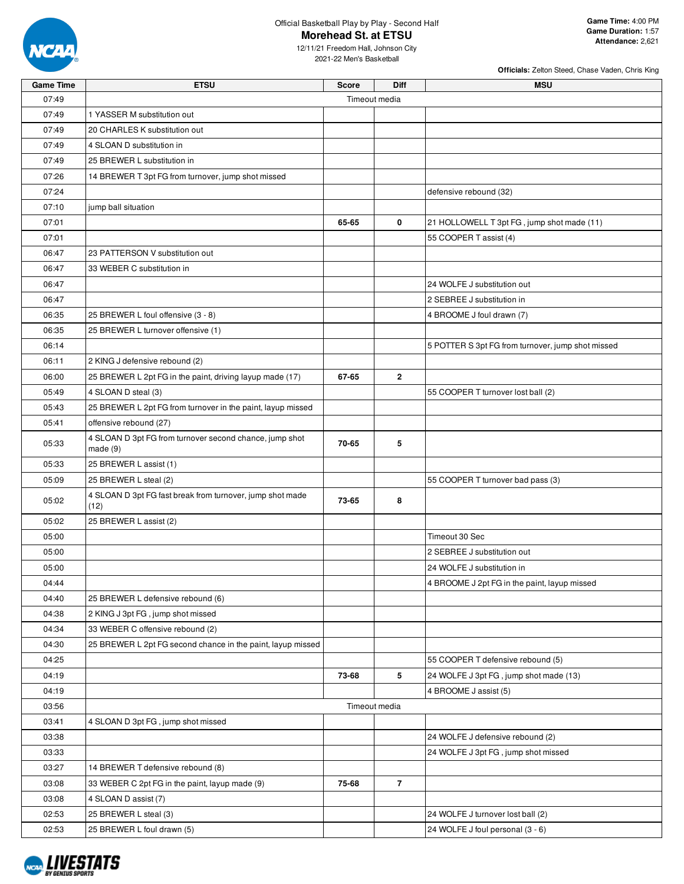

Official Basketball Play by Play - Second Half

## **Morehead St. at ETSU**

2021-22 Men's Basketball

| <b>Game Time</b> | <b>ETSU</b>                                                       | <b>Score</b> | <b>Diff</b>    | <b>MSU</b>                                        |  |  |  |  |  |  |
|------------------|-------------------------------------------------------------------|--------------|----------------|---------------------------------------------------|--|--|--|--|--|--|
| 07:49            | Timeout media                                                     |              |                |                                                   |  |  |  |  |  |  |
| 07:49            | 1 YASSER M substitution out                                       |              |                |                                                   |  |  |  |  |  |  |
| 07:49            | 20 CHARLES K substitution out                                     |              |                |                                                   |  |  |  |  |  |  |
| 07:49            | 4 SLOAN D substitution in                                         |              |                |                                                   |  |  |  |  |  |  |
| 07:49            | 25 BREWER L substitution in                                       |              |                |                                                   |  |  |  |  |  |  |
| 07:26            | 14 BREWER T 3pt FG from turnover, jump shot missed                |              |                |                                                   |  |  |  |  |  |  |
| 07:24            |                                                                   |              |                | defensive rebound (32)                            |  |  |  |  |  |  |
| 07:10            | jump ball situation                                               |              |                |                                                   |  |  |  |  |  |  |
| 07:01            |                                                                   | 65-65        | 0              | 21 HOLLOWELL T 3pt FG, jump shot made (11)        |  |  |  |  |  |  |
| 07:01            |                                                                   |              |                | 55 COOPER T assist (4)                            |  |  |  |  |  |  |
| 06:47            | 23 PATTERSON V substitution out                                   |              |                |                                                   |  |  |  |  |  |  |
| 06:47            | 33 WEBER C substitution in                                        |              |                |                                                   |  |  |  |  |  |  |
| 06:47            |                                                                   |              |                | 24 WOLFE J substitution out                       |  |  |  |  |  |  |
| 06:47            |                                                                   |              |                | 2 SEBREE J substitution in                        |  |  |  |  |  |  |
| 06:35            | 25 BREWER L foul offensive (3 - 8)                                |              |                | 4 BROOME J foul drawn (7)                         |  |  |  |  |  |  |
| 06:35            | 25 BREWER L turnover offensive (1)                                |              |                |                                                   |  |  |  |  |  |  |
| 06:14            |                                                                   |              |                | 5 POTTER S 3pt FG from turnover, jump shot missed |  |  |  |  |  |  |
| 06:11            | 2 KING J defensive rebound (2)                                    |              |                |                                                   |  |  |  |  |  |  |
| 06:00            | 25 BREWER L 2pt FG in the paint, driving layup made (17)          | 67-65        | 2              |                                                   |  |  |  |  |  |  |
| 05:49            | 4 SLOAN D steal (3)                                               |              |                | 55 COOPER T turnover lost ball (2)                |  |  |  |  |  |  |
| 05:43            | 25 BREWER L 2pt FG from turnover in the paint, layup missed       |              |                |                                                   |  |  |  |  |  |  |
| 05:41            | offensive rebound (27)                                            |              |                |                                                   |  |  |  |  |  |  |
|                  | 4 SLOAN D 3pt FG from turnover second chance, jump shot           |              |                |                                                   |  |  |  |  |  |  |
| 05:33            | made(9)                                                           | 70-65        | 5              |                                                   |  |  |  |  |  |  |
| 05:33            | 25 BREWER L assist (1)                                            |              |                |                                                   |  |  |  |  |  |  |
| 05:09            | 25 BREWER L steal (2)                                             |              |                | 55 COOPER T turnover bad pass (3)                 |  |  |  |  |  |  |
| 05:02            | 4 SLOAN D 3pt FG fast break from turnover, jump shot made<br>(12) | 73-65        | 8              |                                                   |  |  |  |  |  |  |
| 05:02            | 25 BREWER L assist (2)                                            |              |                |                                                   |  |  |  |  |  |  |
| 05:00            |                                                                   |              |                | Timeout 30 Sec                                    |  |  |  |  |  |  |
| 05:00            |                                                                   |              |                | 2 SEBREE J substitution out                       |  |  |  |  |  |  |
| 05:00            |                                                                   |              |                | 24 WOLFE J substitution in                        |  |  |  |  |  |  |
| 04:44            |                                                                   |              |                | 4 BROOME J 2pt FG in the paint, layup missed      |  |  |  |  |  |  |
| 04:40            | 25 BREWER L defensive rebound (6)                                 |              |                |                                                   |  |  |  |  |  |  |
| 04:38            | 2 KING J 3pt FG, jump shot missed                                 |              |                |                                                   |  |  |  |  |  |  |
| 04:34            | 33 WEBER C offensive rebound (2)                                  |              |                |                                                   |  |  |  |  |  |  |
| 04:30            | 25 BREWER L 2pt FG second chance in the paint, layup missed       |              |                |                                                   |  |  |  |  |  |  |
| 04:25            |                                                                   |              |                | 55 COOPER T defensive rebound (5)                 |  |  |  |  |  |  |
| 04:19            |                                                                   | 73-68        | 5              | 24 WOLFE J 3pt FG, jump shot made (13)            |  |  |  |  |  |  |
| 04:19            |                                                                   |              |                | 4 BROOME J assist (5)                             |  |  |  |  |  |  |
| 03:56            |                                                                   |              | Timeout media  |                                                   |  |  |  |  |  |  |
| 03:41            | 4 SLOAN D 3pt FG, jump shot missed                                |              |                |                                                   |  |  |  |  |  |  |
| 03:38            |                                                                   |              |                | 24 WOLFE J defensive rebound (2)                  |  |  |  |  |  |  |
| 03:33            |                                                                   |              |                | 24 WOLFE J 3pt FG, jump shot missed               |  |  |  |  |  |  |
| 03:27            | 14 BREWER T defensive rebound (8)                                 |              |                |                                                   |  |  |  |  |  |  |
| 03:08            | 33 WEBER C 2pt FG in the paint, layup made (9)                    | 75-68        | $\overline{7}$ |                                                   |  |  |  |  |  |  |
| 03:08            | 4 SLOAN D assist (7)                                              |              |                |                                                   |  |  |  |  |  |  |
| 02:53            | 25 BREWER L steal (3)                                             |              |                | 24 WOLFE J turnover lost ball (2)                 |  |  |  |  |  |  |
| 02:53            | 25 BREWER L foul drawn (5)                                        |              |                | 24 WOLFE J foul personal (3 - 6)                  |  |  |  |  |  |  |

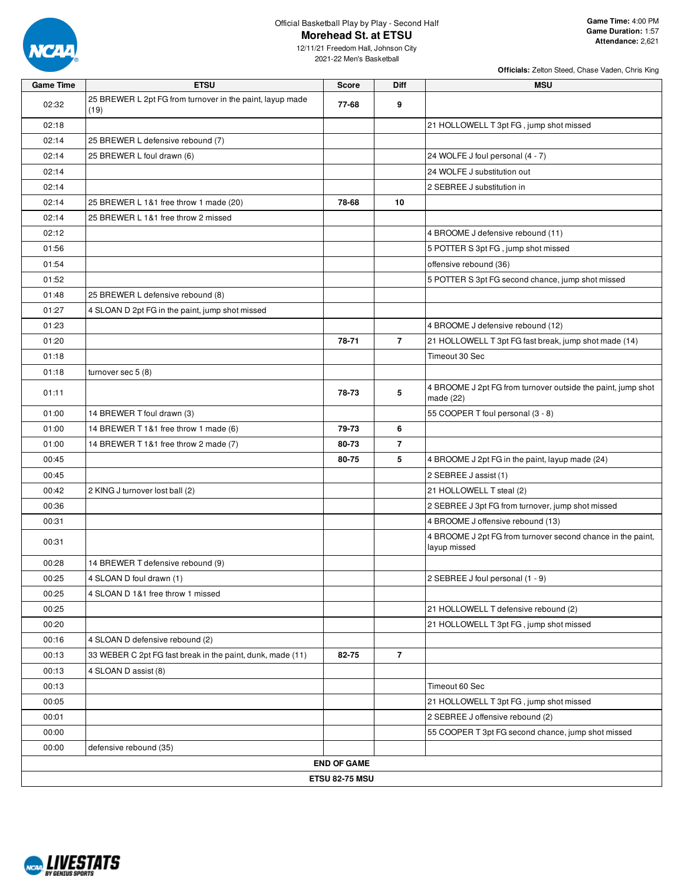

12/11/21 Freedom Hall, Johnson City 2021-22 Men's Basketball

| <b>Game Time</b> | <b>ETSU</b>                                                       | <b>Score</b>          | Diff           | <b>MSU</b>                                                                  |
|------------------|-------------------------------------------------------------------|-----------------------|----------------|-----------------------------------------------------------------------------|
| 02:32            | 25 BREWER L 2pt FG from turnover in the paint, layup made<br>(19) | 77-68                 | 9              |                                                                             |
| 02:18            |                                                                   |                       |                | 21 HOLLOWELL T 3pt FG, jump shot missed                                     |
| 02:14            | 25 BREWER L defensive rebound (7)                                 |                       |                |                                                                             |
| 02:14            | 25 BREWER L foul drawn (6)                                        |                       |                | 24 WOLFE J foul personal (4 - 7)                                            |
| 02:14            |                                                                   |                       |                | 24 WOLFE J substitution out                                                 |
| 02:14            |                                                                   |                       |                | 2 SEBREE J substitution in                                                  |
| 02:14            | 25 BREWER L 1&1 free throw 1 made (20)                            | 78-68                 | 10             |                                                                             |
| 02:14            | 25 BREWER L 1&1 free throw 2 missed                               |                       |                |                                                                             |
| 02:12            |                                                                   |                       |                | 4 BROOME J defensive rebound (11)                                           |
| 01:56            |                                                                   |                       |                | 5 POTTER S 3pt FG, jump shot missed                                         |
| 01:54            |                                                                   |                       |                | offensive rebound (36)                                                      |
| 01:52            |                                                                   |                       |                | 5 POTTER S 3pt FG second chance, jump shot missed                           |
| 01:48            | 25 BREWER L defensive rebound (8)                                 |                       |                |                                                                             |
| 01:27            | 4 SLOAN D 2pt FG in the paint, jump shot missed                   |                       |                |                                                                             |
| 01:23            |                                                                   |                       |                | 4 BROOME J defensive rebound (12)                                           |
| 01:20            |                                                                   | 78-71                 | $\overline{7}$ | 21 HOLLOWELL T 3pt FG fast break, jump shot made (14)                       |
| 01:18            |                                                                   |                       |                | Timeout 30 Sec                                                              |
| 01:18            | turnover sec 5 (8)                                                |                       |                |                                                                             |
| 01:11            |                                                                   | 78-73                 | 5              | 4 BROOME J 2pt FG from turnover outside the paint, jump shot<br>made $(22)$ |
| 01:00            | 14 BREWER T foul drawn (3)                                        |                       |                | 55 COOPER T foul personal (3 - 8)                                           |
| 01:00            | 14 BREWER T 1&1 free throw 1 made (6)                             | 79-73                 | 6              |                                                                             |
| 01:00            | 14 BREWER T 1&1 free throw 2 made (7)                             | 80-73                 | $\overline{7}$ |                                                                             |
| 00:45            |                                                                   | 80-75                 | 5              | 4 BROOME J 2pt FG in the paint, layup made (24)                             |
| 00:45            |                                                                   |                       |                | 2 SEBREE J assist (1)                                                       |
| 00:42            | 2 KING J turnover lost ball (2)                                   |                       |                | 21 HOLLOWELL T steal (2)                                                    |
| 00:36            |                                                                   |                       |                | 2 SEBREE J 3pt FG from turnover, jump shot missed                           |
| 00:31            |                                                                   |                       |                | 4 BROOME J offensive rebound (13)                                           |
| 00:31            |                                                                   |                       |                | 4 BROOME J 2pt FG from turnover second chance in the paint,<br>layup missed |
| 00:28            | 14 BREWER T defensive rebound (9)                                 |                       |                |                                                                             |
| 00:25            | 4 SLOAN D foul drawn (1)                                          |                       |                | 2 SEBREE J foul personal (1 - 9)                                            |
| 00:25            | 4 SLOAN D 1&1 free throw 1 missed                                 |                       |                |                                                                             |
| 00:25            |                                                                   |                       |                | 21 HOLLOWELL T defensive rebound (2)                                        |
| 00:20            |                                                                   |                       |                | 21 HOLLOWELL T 3pt FG, jump shot missed                                     |
| 00:16            | 4 SLOAN D defensive rebound (2)                                   |                       |                |                                                                             |
| 00:13            | 33 WEBER C 2pt FG fast break in the paint, dunk, made (11)        | 82-75                 | $\overline{7}$ |                                                                             |
| 00:13            | 4 SLOAN D assist (8)                                              |                       |                |                                                                             |
| 00:13            |                                                                   |                       |                | Timeout 60 Sec                                                              |
| 00:05            |                                                                   |                       |                | 21 HOLLOWELL T 3pt FG, jump shot missed                                     |
| 00:01            |                                                                   |                       |                | 2 SEBREE J offensive rebound (2)                                            |
| 00:00            |                                                                   |                       |                | 55 COOPER T 3pt FG second chance, jump shot missed                          |
| 00:00            | defensive rebound (35)                                            |                       |                |                                                                             |
|                  |                                                                   | <b>END OF GAME</b>    |                |                                                                             |
|                  |                                                                   | <b>ETSU 82-75 MSU</b> |                |                                                                             |

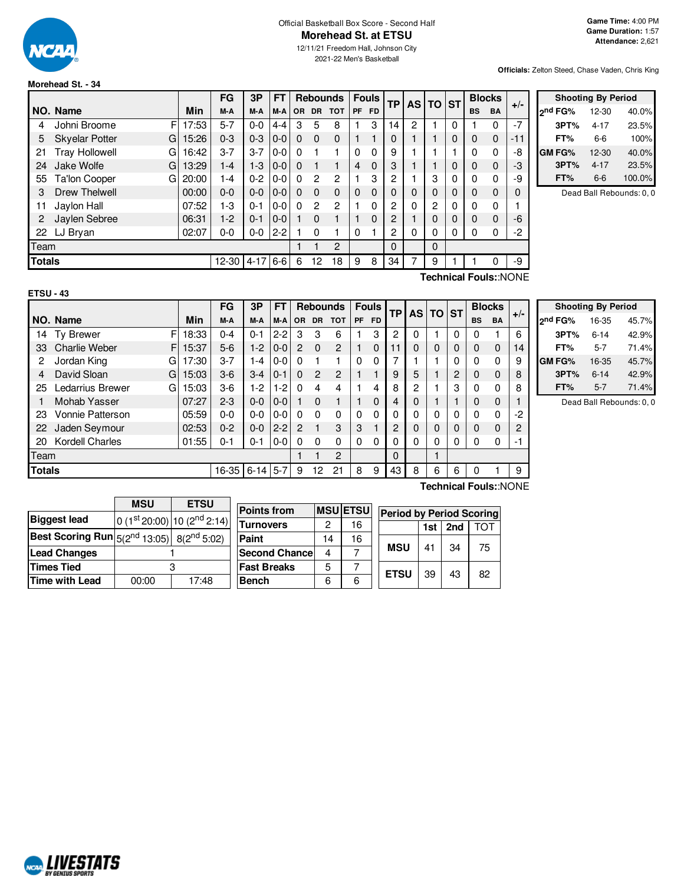

#### Official Basketball Box Score - Second Half **Morehead St. at ETSU**

12/11/21 Freedom Hall, Johnson City 2021-22 Men's Basketball

**Officials:** Zelton Steed, Chase Vaden, Chris King

# **Morehead St. - 34**

|               |                            |            | FG        | 3Р       | FT      |          |                | <b>Rebounds</b> |           | <b>Fouls</b> | <b>TP</b> | <b>AS</b> | <b>TO</b> | <b>ST</b> |              | <b>Blocks</b> | $+/-$    |
|---------------|----------------------------|------------|-----------|----------|---------|----------|----------------|-----------------|-----------|--------------|-----------|-----------|-----------|-----------|--------------|---------------|----------|
|               | NO. Name                   | <b>Min</b> | M-A       | M-A      | M-A     | OR.      | <b>DR</b>      | <b>TOT</b>      | <b>PF</b> | <b>FD</b>    |           |           |           |           | <b>BS</b>    | <b>BA</b>     |          |
| 4             | Johni Broome<br>FI         | 17:53      | 5-7       | $0 - 0$  | $4 - 4$ | 3        | 5              | 8               |           | 3            | 14        | 2         |           | 0         |              | 0             | $-7$     |
| 5             | <b>Skyelar Potter</b><br>G | 15:26      | $0 - 3$   | $0 - 3$  | $0-0$   | 0        | 0              | $\Omega$        |           |              | 0         |           |           | 0         | 0            | $\mathbf 0$   | -11      |
| 21            | <b>Tray Hollowell</b><br>G | 16:42      | $3 - 7$   | $3 - 7$  | $0-0$   | 0        |                |                 | 0         | $\Omega$     | 9         |           |           |           | 0            | $\Omega$      | -8       |
| 24            | Jake Wolfe<br>G            | 13:29      | $1 - 4$   | $1 - 3$  | $ 0-0 $ | $\Omega$ |                |                 | 4         | $\Omega$     | 3         |           |           | 0         | 0            | 0             | -3       |
| 55            | Ta'lon Cooper<br>G         | 20:00      | $1 - 4$   | $0 - 2$  | $0-0$   | 0        | 2              | 2               |           | 3            | 2         |           | 3         | 0         | 0            | 0             | -9       |
| 3             | <b>Drew Thelwell</b>       | 00:00      | $0-0$     | $0 - 0$  | $0-0$   | $\Omega$ | $\Omega$       | $\mathbf{0}$    | 0         | $\Omega$     | 0         | 0         | 0         | 0         | 0            | $\Omega$      | $\Omega$ |
| 11            | Jaylon Hall                | 07:52      | 1-3       | $0 - 1$  | $0-0$   | 0        | $\overline{2}$ | 2               |           | $\Omega$     | 2         | 0         | 2         | 0         | 0            | $\Omega$      |          |
| 2             | Jaylen Sebree              | 06:31      | $1-2$     | $0 - 1$  | $0-0$   |          | $\Omega$       |                 |           | $\Omega$     | 2         |           | $\Omega$  | 0         | $\mathbf{0}$ | 0             | -6       |
|               | 22 LJ Bryan                | 02:07      | $0-0$     | $0-0$    | $2 - 2$ |          | $\Omega$       |                 | $\Omega$  |              | 2         | $\Omega$  | 0         | 0         | 0            | 0             | -2       |
| Team          |                            |            |           |          |         |          |                | $\overline{c}$  |           |              | $\Omega$  |           | $\Omega$  |           |              |               |          |
| <b>Totals</b> |                            |            | $12 - 30$ | $4 - 17$ | $6-6$   | 6        | 12             | 18              | 9         | 8            | 34        |           | 9         |           |              | 0             | -9       |
|               |                            |            |           |          |         |          |                |                 |           |              |           |           |           |           |              |               |          |

| <b>Shooting By Period</b> |           |        |  |  |  |  |  |  |
|---------------------------|-----------|--------|--|--|--|--|--|--|
| <sub>2</sub> nd FG%       | $12 - 30$ | 40.0%  |  |  |  |  |  |  |
| 3PT%                      | $4 - 17$  | 23.5%  |  |  |  |  |  |  |
| FT%                       | 6-6       | 100%   |  |  |  |  |  |  |
| GM FG%                    | 12-30     | 40.0%  |  |  |  |  |  |  |
| 3PT%                      | $4 - 17$  | 23.5%  |  |  |  |  |  |  |
| FT%                       | 6-6       | 100.0% |  |  |  |  |  |  |

Dead Ball Rebounds: 0, 0

| × |
|---|
|---|

**Technical Fouls:**:NONE

|               |                            |       | FG      | 3Р       | FT      |           |           | <b>Rebounds</b> |          | <b>Fouls</b> | <b>TP</b> | <b>AS</b> | l TO | <b>ST</b> |           | <b>Blocks</b> | $+/-$ |
|---------------|----------------------------|-------|---------|----------|---------|-----------|-----------|-----------------|----------|--------------|-----------|-----------|------|-----------|-----------|---------------|-------|
|               | NO. Name                   | Min   | M-A     | M-A      | $M-A$   | <b>OR</b> | <b>DR</b> | <b>TOT</b>      | PF       | <b>FD</b>    |           |           |      |           | <b>BS</b> | <b>BA</b>     |       |
| 14            | F<br><b>Ty Brewer</b>      | 18:33 | $0 - 4$ | $0 - 1$  | $2 - 2$ | 3         | 3         | 6               |          | 3            | 2         | 0         |      | 0         | 0         |               | 6     |
| 33            | <b>Charlie Weber</b><br>F. | 15:37 | $5-6$   | $1 - 2$  | $0-0$   | 2         | $\Omega$  | 2               |          | $\Omega$     | 11        | 0         | 0    | 0         | 0         | 0             | 14    |
| 2             | Jordan King<br>G           | 17:30 | $3 - 7$ | 1-4      | $0-0$   | $\Omega$  |           |                 | 0        | 0            |           |           |      | 0         | 0         | 0             | 9     |
| 4             | David Sloan<br>GI          | 15:03 | $3-6$   | 3-4      | $0 - 1$ | $\Omega$  | 2         | $\overline{c}$  |          |              | 9         | 5         |      | 2         | 0         | 0             | 8     |
| 25            | Ledarrius Brewer<br>G      | 15:03 | $3-6$   | 1-2      | $1-2$   | 0         | 4         | 4               |          | 4            | 8         | 2         |      | 3         | 0         | 0             | 8     |
|               | Mohab Yasser               | 07:27 | $2 - 3$ | $0 - 0$  | $0-0$   |           | $\Omega$  |                 |          | $\Omega$     | 4         | 0         |      |           | 0         | 0             |       |
| 23            | Vonnie Patterson           | 05:59 | $0 - 0$ | $0 - 0$  | $0-0$   | $\Omega$  | $\Omega$  | $\mathbf{0}$    | $\Omega$ | 0            | N         | 0         | 0    | 0         | 0         | 0             | -2    |
| 22            | Jaden Seymour              | 02:53 | $0 - 2$ | $0 - 0$  | $2 - 2$ | 2         |           | 3               | 3        |              | 2         | 0         | 0    | 0         | 0         | 0             | 2     |
| 20            | <b>Kordell Charles</b>     | 01:55 | $0 - 1$ | $0 - 1$  | $0-0$   | $\Omega$  | $\Omega$  | $\Omega$        | 0        | 0            | 0         | 0         | 0    | 0         | 0         | 0             | $-1$  |
| Team          |                            |       |         |          |         |           |           | $\overline{2}$  |          |              | 0         |           |      |           |           |               |       |
| <b>Totals</b> |                            |       | 16-35   | $6 - 14$ | $5 - 7$ | 9         | 12        | 21              | 8        | 9            | 43        | 8         | 6    | 6         | 0         |               | 9     |

|              | <b>Shooting By Period</b> |       |  |  |  |  |  |
|--------------|---------------------------|-------|--|--|--|--|--|
| 2nd FG%      | 16-35                     | 45.7% |  |  |  |  |  |
| 3PT%         | $6 - 14$                  | 42.9% |  |  |  |  |  |
| FT%          | 5-7                       | 71.4% |  |  |  |  |  |
| <b>GMFG%</b> | 16-35                     | 45.7% |  |  |  |  |  |
| 3PT%         | $6 - 14$                  | 42.9% |  |  |  |  |  |
| FT%          | $5 - 7$                   | 71.4% |  |  |  |  |  |

Dead Ball Rebounds: 0, 0

|                                                                   | <b>MSU</b> | <b>ETSU</b>                             |  |  |  |  |
|-------------------------------------------------------------------|------------|-----------------------------------------|--|--|--|--|
| <b>Biggest lead</b>                                               |            | 0 (1st 20:00) 10 (2 <sup>nd</sup> 2:14) |  |  |  |  |
| <b>Best Scoring Run</b> $5(2^{nd} 13:05)$ 8(2 <sup>nd</sup> 5:02) |            |                                         |  |  |  |  |
| <b>Lead Changes</b>                                               |            |                                         |  |  |  |  |
| <b>Times Tied</b>                                                 |            |                                         |  |  |  |  |
| Time with Lead                                                    | 00:00      | 17:48                                   |  |  |  |  |

| <b>Points from</b>   |    | <b>MSU</b> ETSU | Period      |
|----------------------|----|-----------------|-------------|
| <b>Turnovers</b>     | 2  | 16              |             |
| Paint                | 14 | 16              |             |
| <b>Second Chance</b> | 4  |                 | MSU         |
| <b>Fast Breaks</b>   | 5  |                 |             |
| <b>Bench</b>         | 6  | 6               | <b>ETSL</b> |

**Technical Fouls:**:NONE

| <b>SU</b> | <b>Period by Period Scoring</b> |     |     |            |
|-----------|---------------------------------|-----|-----|------------|
|           |                                 | 1st | 2nd | <b>TOT</b> |
|           | <b>MSU</b>                      | 41  | 34  | 75         |
|           | <b>ETSU</b>                     | 39  | 43  | 82         |

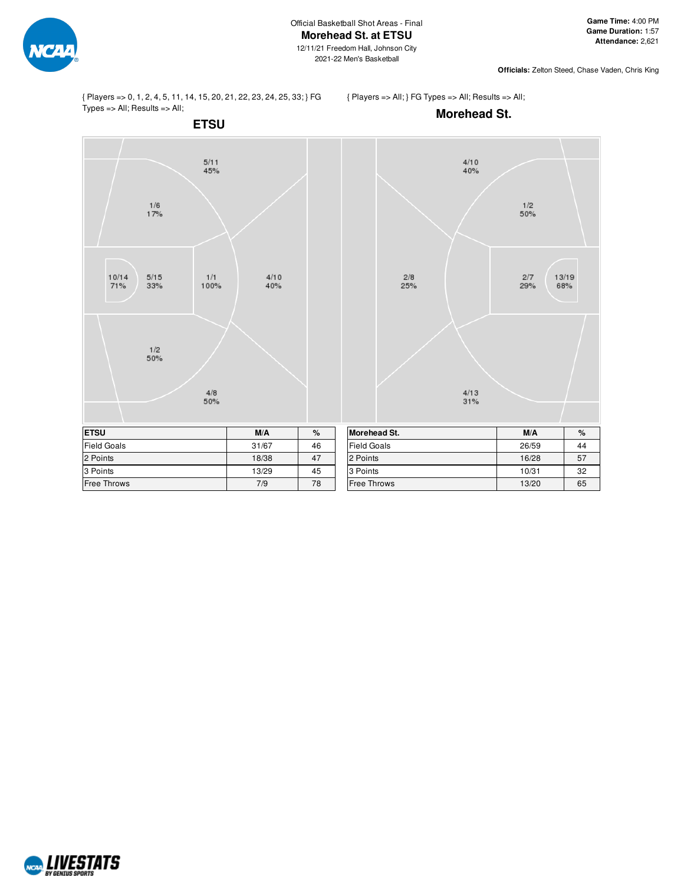

 $\frac{1}{2}$ <br>50%

 $2/7\,$ 

29%

13/19

68%

{ Players => 0, 1, 2, 4, 5, 11, 14, 15, 20, 21, 22, 23, 24, 25, 33; } FG Types => All; Results => All;

 $\frac{1/6}{17%}$ 

 $5/15$ 

 $33\%$ 

 $\frac{1}{2}$ <br>50%

 $10/14$ 

71%

3 Points 13/29 13/29 13/29 Free Throws 2008 2012 12:00:00 12:00:00 12:00:00 12:00:00 12:00:00 12:00:00 12:00:00 12:00:00 12:00:00 12:00:00 12:00:00 12:00:00 12:00:00 12:00:00 12:00:00 12:00:00 12:00:00 12:00:00 12:00:00 12:00:00 12:00:00 12:00:00 12 { Players => All; } FG Types => All; Results => All;

3 Points 20 10/31 22 Free Throws 13/20 65



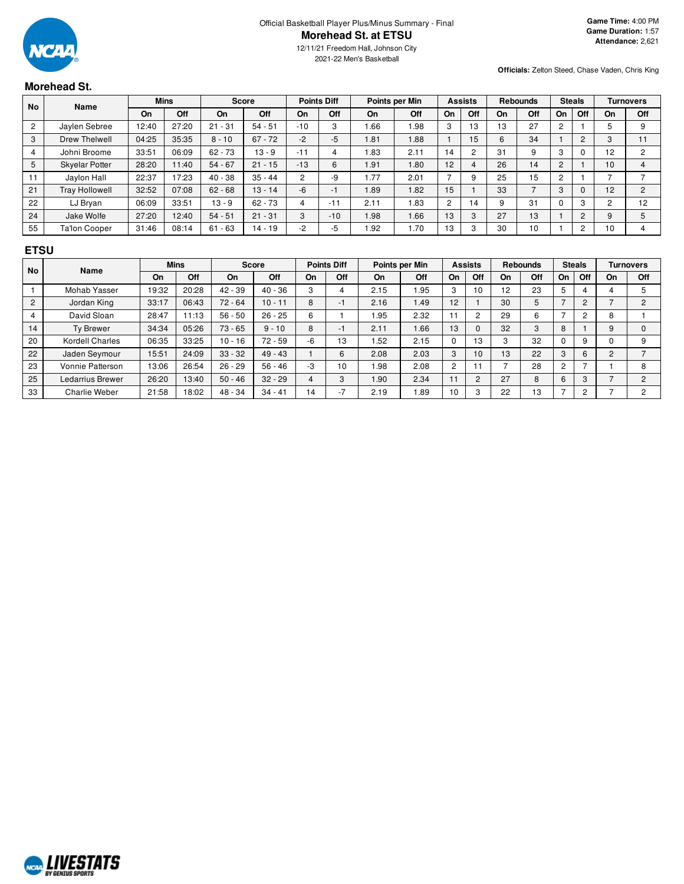

12/11/21 Freedom Hall, Johnson City 2021-22 Men's Basketball

**Officials:** Zelton Steed, Chase Vaden, Chris King

# **Morehead St.**

| <b>No</b> | <b>Name</b>           | <b>Mins</b> |       | <b>Score</b> |            | <b>Points Diff</b> |       | Points per Min |            | <b>Assists</b> |     | <b>Rebounds</b> |     | <b>Steals</b>    |            | <b>Turnovers</b> |                |
|-----------|-----------------------|-------------|-------|--------------|------------|--------------------|-------|----------------|------------|----------------|-----|-----------------|-----|------------------|------------|------------------|----------------|
|           |                       | On          | Off   | <b>On</b>    | <b>Off</b> | On                 | Off   | On             | Off        | On             | Off | On              | Off | On               | Off        | On               | Off            |
| 2         | Jaylen Sebree         | 12:40       | 27:20 | $21 - 31$    | $54 - 51$  | $-10$              | 3     | .66            | .98        | 3              | 13  | 13              | 27  |                  |            |                  | 9              |
| 3         | Drew Thelwell         | 04:25       | 35:35 | $8 - 10$     | $67 - 72$  | $-2$               | $-5$  | 1.81           | .88        |                | 15  | 6               | 34  |                  | $\sqrt{2}$ | 3                |                |
|           | Johni Broome          | 33.51       | 06:09 | $62 - 73$    | $13 - 9$   | $-11$              | 4     | .83            | 2.11       | 14             |     | 31              | 9   | $\sqrt{2}$<br>J. |            | 12               | 2              |
| 5         | <b>Skyelar Potter</b> | 28:20       | 11:40 | $54 - 67$    | $21 - 15$  | $-13$              | 6     | 1.91           | .80        | 12             |     | 26              | 14  | $\overline{c}$   |            | 10               |                |
|           | Jaylon Hall           | 22:37       | 17:23 | $40 - 38$    | $35 - 44$  | 2                  | -9    | 1.77           | 2.01       |                |     | 25              | 15  |                  |            |                  |                |
| 21        | <b>Tray Hollowell</b> | 32:52       | 07:08 | $62 - 68$    | $13 - 14$  | $-6$               | $-1$  | 1.89           | .82        | 15             |     | 33              |     | 3                |            | 12               | $\overline{2}$ |
| 22        | LJ Bryan              | 06:09       | 33:51 | $13 - 9$     | $62 - 73$  | 4                  | $-11$ | 2.11           | <b>83.</b> | 2              | 14  | 9               | 31  |                  | c          |                  | 12             |
| 24        | Jake Wolfe            | 27:20       | 12:40 | $54 - 51$    | $21 - 31$  | 3                  | $-10$ | 1.98           | 1.66       | 13             | 3   | 27              | 13  |                  |            | 9                | 5              |
| 55        | <b>Ta'lon Cooper</b>  | 31:46       | 08:14 | $61 - 63$    | $14 - 19$  | -2                 | $-5$  | .92            | 1.70       | 13             |     | 30              | 10  |                  |            | 10               |                |

#### **ETSU**

| No             | <b>Name</b>          | <b>Mins</b> |       | <b>Score</b> |           | <b>Points Diff</b> |                          | Points per Min |      | <b>Assists</b> |                | <b>Rebounds</b> |     | <b>Steals</b>  |              | <b>Turnovers</b> |               |
|----------------|----------------------|-------------|-------|--------------|-----------|--------------------|--------------------------|----------------|------|----------------|----------------|-----------------|-----|----------------|--------------|------------------|---------------|
|                |                      | On          | Off   | On           | Off       | On                 | Off                      | <b>On</b>      | Off  | On             | Off            | On              | Off | On             | Off          | On               | Off           |
|                | Mohab Yasser         | 19:32       | 20:28 | $42 - 39$    | $40 - 36$ | 3                  |                          | 2.15           | .95  | 3              | 10             | 12              | 23  |                |              |                  |               |
| $\overline{2}$ | Jordan King          | 33:17       | 06:43 | $72 - 64$    | $10 - 11$ | 8                  | $-$                      | 2.16           | 1.49 | 12             |                | 30              | 5   |                | <sup>o</sup> |                  | $\mathcal{P}$ |
|                | David Sloan          | 28:47       | 11:13 | $56 - 50$    | $26 - 25$ | 6                  |                          | l.95           | 2.32 | -41-4          | $\sim$         | 29              | 6   |                | $\sim$       | ິ<br>ο           |               |
| 14             | <b>Ty Brewer</b>     | 34:34       | 05:26 | $73 - 65$    | $9 - 10$  | 8                  | $\overline{\phantom{a}}$ | 2.11           | 1.66 | 13             |                | 32              | 3   | 8              |              |                  |               |
| 20             | Kordell Charles      | 06:35       | 33:25 | $10 - 16$    | $72 - 59$ | -6                 | 13                       | .52            | 2.15 | $\Omega$       | 13             | 3               | 32  | $\sim$         | 9            |                  | 9             |
| 22             | Jaden Seymour        | 15:51       | 24:09 | $33 - 32$    | $49 - 43$ |                    | 6                        | 2.08           | 2.03 | 3              | 10             | 13              | 22  | 3              |              | ◠                |               |
| 23             | Vonnie Patterson     | 13:06       | 26:54 | $26 - 29$    | $56 - 46$ | -3                 | 10                       | <b>98.</b>     | 2.08 | $\overline{2}$ |                |                 | 28  | $\overline{2}$ |              |                  | 8             |
| 25             | Ledarrius Brewer     | 26:20       | 13:40 | $50 - 46$    | $32 - 29$ | 4                  | 3                        | 1.90           | 2.34 | 11             | $\overline{2}$ | 27              | 8   | 6              | 3            |                  | C.            |
| 33             | <b>Charlie Weber</b> | 21:58       | 18:02 | 48 - 34      | $34 - 41$ | 14                 |                          | 2.19           | 89.  | 10             | $\sim$         | 22              | 13  |                | ◠            |                  | c             |

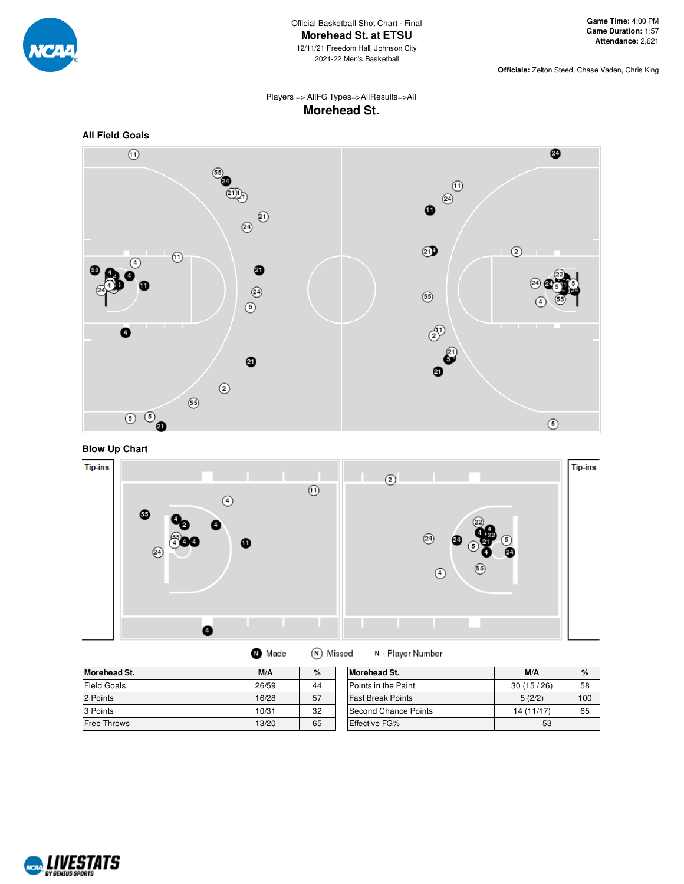

## Players => AllFG Types=>AllResults=>All **Morehead St.**



**Blow Up Chart**



| <b>Morehead St.</b> | M/A   | %  | <b>Morehead St.</b>      | M/A        | $\%$          |
|---------------------|-------|----|--------------------------|------------|---------------|
| <b>Field Goals</b>  | 26/59 | 44 | Points in the Paint      | 30(15/26)  | 58            |
| 2 Points            | 16/28 | 57 | <b>Fast Break Points</b> | 5(2/2)     | $100^{\circ}$ |
| 3 Points            | 10/31 | 32 | Second Chance Points     | 14 (11/17) | 65            |
| <b>Free Throws</b>  | 13/20 | 65 | <b>Effective FG%</b>     | 53         |               |

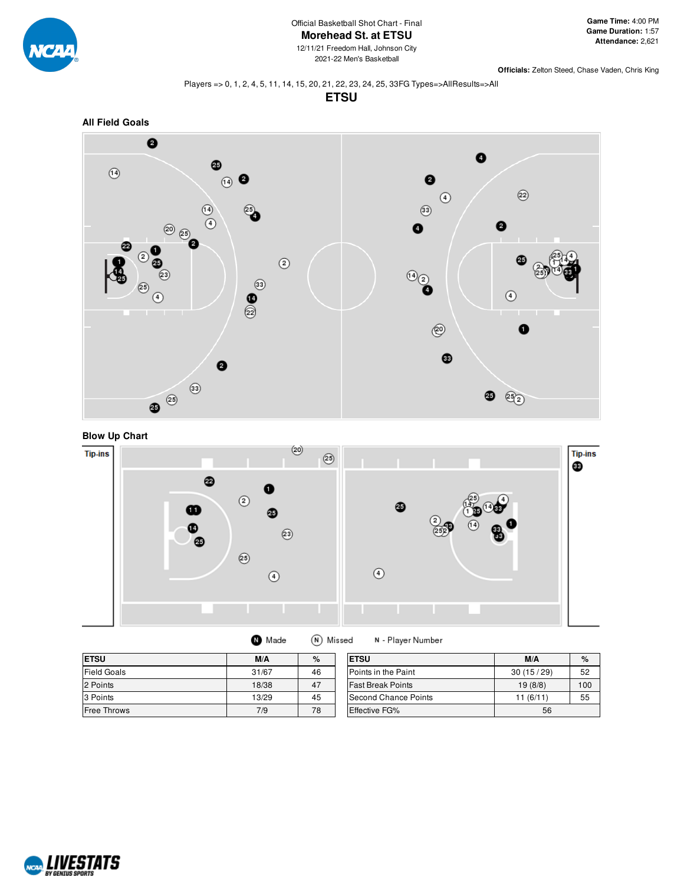

#### Players => 0, 1, 2, 4, 5, 11, 14, 15, 20, 21, 22, 23, 24, 25, 33FG Types=>AllResults=>All

**ETSU**







| Made | (N) Missed | N - Player Number |
|------|------------|-------------------|
|------|------------|-------------------|

| <b>ETSU</b>        | M/A   | %  | <b>ETSU</b>              | M/A       | $\%$ |
|--------------------|-------|----|--------------------------|-----------|------|
| <b>Field Goals</b> | 31/67 | 46 | Points in the Paint      | 30(15/29) | 52   |
| 2 Points           | 18/38 | 47 | <b>Fast Break Points</b> | 19(8/8)   | 100  |
| 3 Points           | 13/29 | 45 | Second Chance Points     | 11(6/11)  | 55   |
| <b>Free Throws</b> | 7/9   | 78 | <b>Effective FG%</b>     | 56        |      |

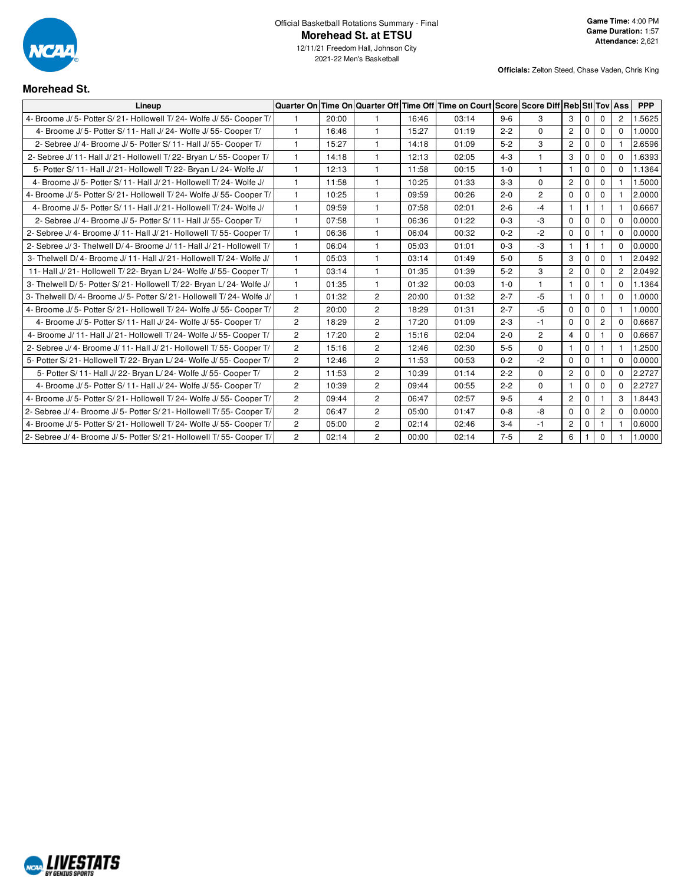

2021-22 Men's Basketball

# **Morehead St.**

| Lineup                                                                 |                       |       |                |       | Quarter On Time On Quarter Off Time Off Time on Court Score Score Diff Reb Sti Tov Ass |         |                |                |              |                |                | <b>PPP</b> |
|------------------------------------------------------------------------|-----------------------|-------|----------------|-------|----------------------------------------------------------------------------------------|---------|----------------|----------------|--------------|----------------|----------------|------------|
| 4- Broome J/5- Potter S/21- Hollowell T/24- Wolfe J/55- Cooper T/      |                       | 20:00 |                | 16:46 | 03:14                                                                                  | $9 - 6$ | 3              | 3              | $\mathbf{0}$ | $\Omega$       | $\overline{2}$ | 1.5625     |
| 4- Broome J/5- Potter S/11- Hall J/24- Wolfe J/55- Cooper T/           | $\mathbf{1}$          | 16:46 | $\mathbf{1}$   | 15:27 | 01:19                                                                                  | $2 - 2$ | $\Omega$       | $\overline{c}$ | $\mathbf 0$  | $\mathbf 0$    | $\Omega$       | 1.0000     |
| 2- Sebree J/ 4- Broome J/ 5- Potter S/ 11- Hall J/ 55- Cooper T/       | $\mathbf{1}$          | 15:27 | $\mathbf{1}$   | 14:18 | 01:09                                                                                  | $5 - 2$ | 3              | $\overline{2}$ | 0            | $\mathbf 0$    |                | 2.6596     |
| 2- Sebree J/ 11- Hall J/ 21- Hollowell T/ 22- Bryan L/ 55- Cooper T/   | $\mathbf{1}$          | 14:18 | $\mathbf{1}$   | 12:13 | 02:05                                                                                  | $4 - 3$ | $\mathbf{1}$   | 3              | 0            | 0              | $\Omega$       | 1.6393     |
| 5- Potter S/ 11- Hall J/ 21- Hollowell T/ 22- Bryan L/ 24- Wolfe J/    | $\mathbf{1}$          | 12:13 | $\mathbf{1}$   | 11:58 | 00:15                                                                                  | $1 - 0$ | $\mathbf{1}$   |                | $\mathbf 0$  | $\mathbf 0$    | $\Omega$       | 1.1364     |
| 4- Broome J/ 5- Potter S/ 11- Hall J/ 21- Hollowell T/ 24- Wolfe J/    | $\mathbf{1}$          | 11:58 | $\overline{1}$ | 10:25 | 01:33                                                                                  | $3-3$   | $\Omega$       | $\overline{2}$ | $\mathbf 0$  | $\mathbf 0$    |                | 1.5000     |
| 4- Broome J/5- Potter S/21- Hollowell T/24- Wolfe J/55- Cooper T/      | $\mathbf{1}$          | 10:25 | $\mathbf{1}$   | 09:59 | 00:26                                                                                  | $2 - 0$ | $\overline{2}$ | $\Omega$       | $\mathbf 0$  | $\Omega$       |                | 2.0000     |
| 4- Broome J/ 5- Potter S/ 11- Hall J/ 21- Hollowell T/ 24- Wolfe J/    | $\mathbf{1}$          | 09:59 | $\mathbf{1}$   | 07:58 | 02:01                                                                                  | $2 - 6$ | $-4$           | $\mathbf{1}$   | $\mathbf{1}$ | $\mathbf{1}$   |                | 0.6667     |
| 2- Sebree J/ 4- Broome J/ 5- Potter S/ 11- Hall J/ 55- Cooper T/       | $\mathbf{1}$          | 07:58 | 1              | 06:36 | 01:22                                                                                  | $0 - 3$ | $-3$           | $\Omega$       | $\mathbf 0$  | $\mathbf 0$    | $\Omega$       | 0.0000     |
| 2- Sebree J/ 4- Broome J/ 11- Hall J/ 21- Hollowell T/ 55- Cooper T/   | $\mathbf{1}$          | 06:36 | $\mathbf{1}$   | 06:04 | 00:32                                                                                  | $0 - 2$ | $-2$           | $\mathbf 0$    | $\mathbf 0$  |                | $\Omega$       | 0.0000     |
| 2- Sebree J/3- Thelwell D/4- Broome J/11- Hall J/21- Hollowell T/      | $\mathbf{1}$          | 06:04 | $\mathbf{1}$   | 05:03 | 01:01                                                                                  | $0 - 3$ | $-3$           | $\mathbf{1}$   | $\mathbf{1}$ | $\mathbf{1}$   | $\Omega$       | 0.0000     |
| 3- Thelwell D/4- Broome J/11- Hall J/21- Hollowell T/24- Wolfe J/      | $\mathbf{1}$          | 05:03 | 1              | 03:14 | 01:49                                                                                  | $5-0$   | 5              | 3              | $\mathbf 0$  | $\mathbf 0$    |                | 2.0492     |
| 11- Hall J/21- Hollowell T/22- Bryan L/24- Wolfe J/55- Cooper T/       | $\mathbf{1}$          | 03:14 | $\overline{1}$ | 01:35 | 01:39                                                                                  | $5 - 2$ | 3              | $\overline{2}$ | $\mathbf 0$  | $\mathbf 0$    | $\overline{2}$ | 2.0492     |
| 3- Thelwell D/5- Potter S/21- Hollowell T/22- Bryan L/24- Wolfe J/     | $\mathbf{1}$          | 01:35 | $\mathbf{1}$   | 01:32 | 00:03                                                                                  | $1 - 0$ | $\mathbf{1}$   | $\mathbf{1}$   | $\mathbf 0$  | $\mathbf{1}$   | $\Omega$       | 1.1364     |
| 3- Thelwell D/ 4- Broome J/ 5- Potter S/ 21- Hollowell T/ 24- Wolfe J/ | $\mathbf{1}$          | 01:32 | 2              | 20:00 | 01:32                                                                                  | $2 - 7$ | $-5$           | $\mathbf{1}$   | $\mathbf 0$  |                | $\Omega$       | 1.0000     |
| 4- Broome J/5- Potter S/21- Hollowell T/24- Wolfe J/55- Cooper T/      | $\mathbf{2}^{\prime}$ | 20:00 | $\overline{c}$ | 18:29 | 01:31                                                                                  | $2 - 7$ | $-5$           | $\Omega$       | 0            | $\Omega$       |                | 1.0000     |
| 4- Broome J/5- Potter S/11- Hall J/24- Wolfe J/55- Cooper T/           | $\overline{2}$        | 18:29 | $\overline{2}$ | 17:20 | 01:09                                                                                  | $2 - 3$ | $-1$           | $\Omega$       | $\mathbf 0$  | $\overline{2}$ | $\Omega$       | 0.6667     |
| 4- Broome J/ 11- Hall J/ 21- Hollowell T/ 24- Wolfe J/ 55- Cooper T/   | $\overline{2}$        | 17:20 | $\overline{c}$ | 15:16 | 02:04                                                                                  | $2 - 0$ | $\overline{2}$ | $\overline{4}$ | $\mathbf 0$  |                | $\Omega$       | 0.6667     |
| 2- Sebree J/ 4- Broome J/ 11- Hall J/ 21- Hollowell T/ 55- Cooper T/   | $\overline{2}$        | 15:16 | $\overline{2}$ | 12:46 | 02:30                                                                                  | $5-5$   | $\mathbf 0$    | $\mathbf{1}$   | 0            | $\mathbf{1}$   |                | 1.2500     |
| 5- Potter S/21- Hollowell T/22- Bryan L/24- Wolfe J/55- Cooper T/      | $\mathbf{2}$          | 12:46 | $\overline{2}$ | 11:53 | 00:53                                                                                  | $0 - 2$ | $-2$           | $\Omega$       | $\mathbf 0$  |                | $\Omega$       | 0.0000     |
| 5- Potter S/ 11- Hall J/ 22- Bryan L/ 24- Wolfe J/ 55- Cooper T/       | $\mathbf{2}$          | 11:53 | $\overline{2}$ | 10:39 | 01:14                                                                                  | $2 - 2$ | $\Omega$       | $\overline{c}$ | $\mathbf 0$  | $\mathbf 0$    | $\Omega$       | 2.2727     |
| 4- Broome J/5- Potter S/11- Hall J/24- Wolfe J/55- Cooper T/           | $\overline{2}$        | 10:39 | 2              | 09:44 | 00:55                                                                                  | $2 - 2$ | $\Omega$       | $\mathbf{1}$   | $\mathbf{0}$ | $\mathbf 0$    | $\Omega$       | 2.2727     |
| 4- Broome J/5- Potter S/21- Hollowell T/24- Wolfe J/55- Cooper T/      | 2                     | 09:44 | 2              | 06:47 | 02:57                                                                                  | $9 - 5$ | $\overline{4}$ | $\overline{2}$ | 0            |                | 3              | 1.8443     |
| 2- Sebree J/ 4- Broome J/ 5- Potter S/ 21- Hollowell T/ 55- Cooper T/  | $\mathbf{2}$          | 06:47 | $\overline{2}$ | 05:00 | 01:47                                                                                  | $0 - 8$ | -8             | $\Omega$       | $\mathbf 0$  | $\overline{c}$ | $\Omega$       | 0.0000     |
| 4- Broome J/5- Potter S/21- Hollowell T/24- Wolfe J/55- Cooper T/      | $\overline{2}$        | 05:00 | $\overline{2}$ | 02:14 | 02:46                                                                                  | $3 - 4$ | $-1$           | $\mathbf{2}$   | 0            | -1             |                | 0.6000     |
| 2- Sebree J/ 4- Broome J/ 5- Potter S/ 21- Hollowell T/ 55- Cooper T/  | $\overline{2}$        | 02:14 | $\overline{2}$ | 00:00 | 02:14                                                                                  | $7 - 5$ | $\overline{2}$ | 6              |              | $\mathbf 0$    |                | 1.0000     |

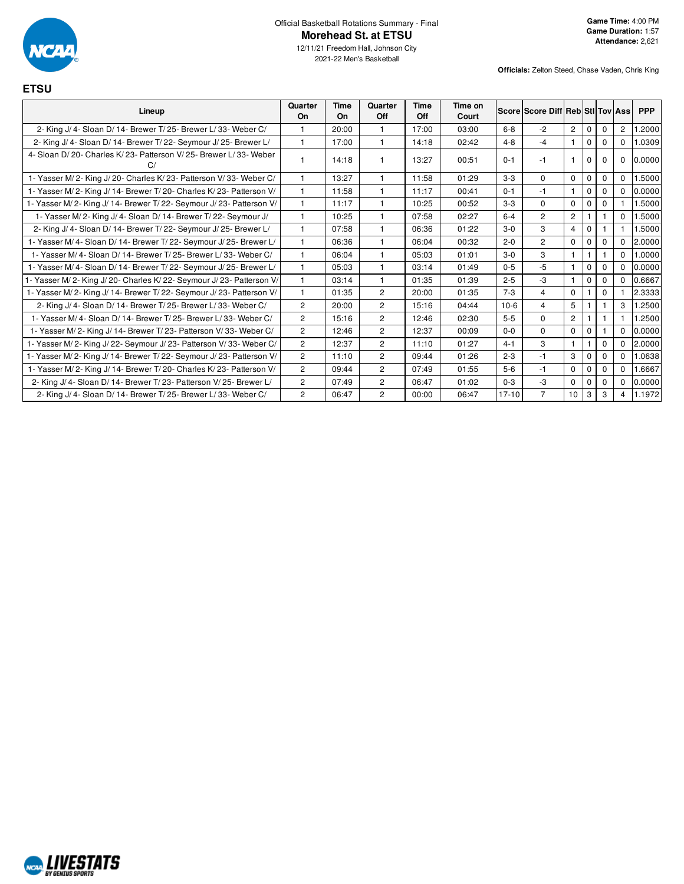

**ETSU**

12/11/21 Freedom Hall, Johnson City 2021-22 Men's Basketball

| Lineup                                                                 | Quarter<br>On  | Time<br>On | Quarter<br>Off | Time<br>Off | Time on<br>Court |           | Score Score Diff Reb Stl Tov Ass |                      |              |          |             | <b>PPP</b> |
|------------------------------------------------------------------------|----------------|------------|----------------|-------------|------------------|-----------|----------------------------------|----------------------|--------------|----------|-------------|------------|
| 2- King J/ 4- Sloan D/ 14- Brewer T/ 25- Brewer L/ 33- Weber C/        |                | 20:00      | 1              | 17:00       | 03:00            | $6 - 8$   | $-2$                             | $\mathbf{2}^{\circ}$ | $\mathbf{0}$ | 0        | 2           | .2000      |
| 2- King J/ 4- Sloan D/ 14- Brewer T/ 22- Seymour J/ 25- Brewer L/      |                | 17:00      |                | 14:18       | 02:42            | $4 - 8$   | $-4$                             | $\mathbf{1}$         | $\Omega$     | $\Omega$ | $\Omega$    | 1.0309     |
| 4- Sloan D/20- Charles K/23- Patterson V/25- Brewer L/33- Weber        |                | 14:18      |                | 13:27       | 00:51            | $0 - 1$   | $-1$                             | $\mathbf{1}$         | $\mathbf 0$  | $\Omega$ | $\mathbf 0$ | 0.0000     |
| 1- Yasser M/2- King J/20- Charles K/23- Patterson V/33- Weber C/       |                | 13:27      |                | 11:58       | 01:29            | $3-3$     | $\Omega$                         | $\mathbf 0$          | $\mathbf{0}$ | 0        | $\Omega$    | .5000      |
| 1- Yasser M/2- King J/14- Brewer T/20- Charles K/23- Patterson V/      | 1              | 11:58      |                | 11:17       | 00:41            | $0 - 1$   | $-1$                             | $\mathbf{1}$         | $\Omega$     | $\Omega$ | $\Omega$    | 0.0000     |
| 1- Yasser M/2- King J/14- Brewer T/22- Seymour J/23- Patterson V/      |                | 11:17      |                | 10:25       | 00:52            | $3-3$     | $\Omega$                         | $\mathbf 0$          | $\Omega$     | $\Omega$ |             | 1.5000     |
| 1- Yasser M/2- King J/4- Sloan D/14- Brewer T/22- Seymour J/           |                | 10:25      |                | 07:58       | 02:27            | $6 - 4$   | $\overline{2}$                   | $\overline{2}$       |              |          | $\Omega$    | 1.5000     |
| 2- King J/ 4- Sloan D/ 14- Brewer T/ 22- Seymour J/ 25- Brewer L/      | $\mathbf{1}$   | 07:58      |                | 06:36       | 01:22            | $3-0$     | 3                                | $\overline{4}$       | $\mathbf 0$  |          |             | 1.5000     |
| 1- Yasser M/ 4- Sloan D/ 14- Brewer T/ 22- Seymour J/ 25- Brewer L/    | $\mathbf{1}$   | 06:36      | 1              | 06:04       | 00:32            | $2 - 0$   | $\overline{2}$                   | $\mathbf 0$          | $\Omega$     | $\Omega$ | $\Omega$    | 2.0000     |
| 1- Yasser M/4- Sloan D/14- Brewer T/25- Brewer L/33- Weber C/          | $\mathbf{1}$   | 06:04      |                | 05:03       | 01:01            | $3-0$     | 3                                | $\mathbf{1}$         |              |          | $\Omega$    | 1.0000     |
| 1- Yasser M/ 4- Sloan D/ 14- Brewer T/ 22- Seymour J/ 25- Brewer L/    | $\mathbf{1}$   | 05:03      |                | 03:14       | 01:49            | $0 - 5$   | $-5$                             | $\mathbf{1}$         | $\Omega$     | $\Omega$ | $\Omega$    | 0.0000     |
| 1- Yasser M/ 2- King J/ 20- Charles K/ 22- Seymour J/ 23- Patterson V/ |                | 03:14      | $\mathbf{1}$   | 01:35       | 01:39            | $2 - 5$   | -3                               | $\mathbf{1}$         | $\Omega$     | $\Omega$ | $\Omega$    | 0.6667     |
| 1- Yasser M/2- King J/14- Brewer T/22- Seymour J/23- Patterson V/      | 1              | 01:35      | $\overline{2}$ | 20:00       | 01:35            | $7 - 3$   | $\overline{4}$                   | $\Omega$             |              | $\Omega$ |             | 2.3333     |
| 2- King J/ 4- Sloan D/ 14- Brewer T/ 25- Brewer L/ 33- Weber C/        | $\overline{c}$ | 20:00      | $\overline{c}$ | 15:16       | 04:44            | $10-6$    | $\overline{4}$                   | 5                    |              |          | 3           | 1.2500     |
| 1- Yasser M/4- Sloan D/14- Brewer T/25- Brewer L/33- Weber C/          | $\overline{2}$ | 15:16      | $\overline{2}$ | 12:46       | 02:30            | $5-5$     | $\Omega$                         | $\overline{2}$       |              |          |             | .2500      |
| 1- Yasser M/2- King J/14- Brewer T/23- Patterson V/33- Weber C/        | $\overline{c}$ | 12:46      | $\overline{2}$ | 12:37       | 00:09            | $0 - 0$   | $\Omega$                         | $\Omega$             | $\Omega$     |          | $\Omega$    | 0.0000     |
| 1- Yasser M/2- King J/22- Seymour J/23- Patterson V/33- Weber C/       | $\overline{2}$ | 12:37      | $\overline{2}$ | 11:10       | 01:27            | $4 - 1$   | 3                                | $\overline{1}$       |              | 0        | $\Omega$    | 2.0000     |
| 1- Yasser M/2- King J/14- Brewer T/22- Seymour J/23- Patterson V/      | $\overline{2}$ | 11:10      | $\overline{2}$ | 09:44       | 01:26            | $2 - 3$   | $-1$                             | 3                    | $\Omega$     | $\Omega$ | $\Omega$    | 1.0638     |
| 1- Yasser M/2- King J/14- Brewer T/20- Charles K/23- Patterson V/      | $\overline{2}$ | 09:44      | $\overline{2}$ | 07:49       | 01:55            | $5-6$     | $-1$                             | $\mathbf 0$          | $\mathbf{0}$ | $\Omega$ | $\Omega$    | 1.6667     |
| 2- King J/ 4- Sloan D/ 14- Brewer T/ 23- Patterson V/ 25- Brewer L/    | $\overline{c}$ | 07:49      | $\overline{c}$ | 06:47       | 01:02            | $0 - 3$   | $-3$                             | $\mathbf 0$          | $\Omega$     | $\Omega$ | $\mathbf 0$ | 0.0000     |
| 2- King J/ 4- Sloan D/ 14- Brewer T/ 25- Brewer L/ 33- Weber C/        | $\overline{2}$ | 06:47      | $\mathbf{2}$   | 00:00       | 06:47            | $17 - 10$ | $\overline{7}$                   | 10                   | 3            | 3        | 4           | 1.1972     |

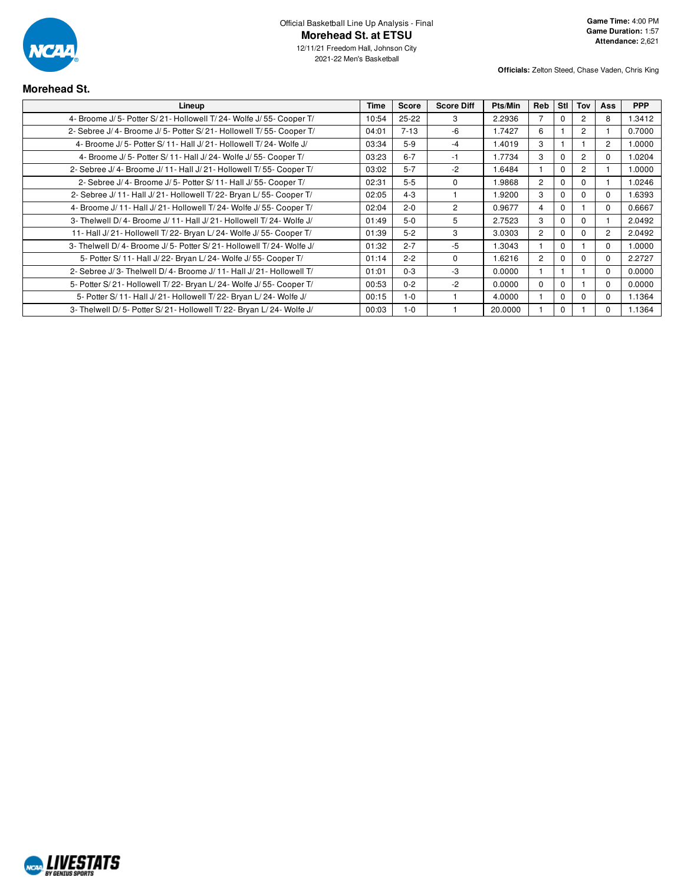

# **Morehead St.**

| Lineup                                                                | Time  | Score    | <b>Score Diff</b> | Pts/Min | <b>Reb</b>     | Stl          | Tov                  | Ass            | <b>PPP</b> |
|-----------------------------------------------------------------------|-------|----------|-------------------|---------|----------------|--------------|----------------------|----------------|------------|
| 4- Broome J/ 5- Potter S/ 21- Hollowell T/ 24- Wolfe J/ 55- Cooper T/ | 10:54 | 25-22    | 3                 | 2.2936  |                | $\Omega$     | $\mathbf{2}^{\circ}$ | 8              | 1.3412     |
| 2- Sebree J/ 4- Broome J/ 5- Potter S/ 21- Hollowell T/ 55- Cooper T/ | 04:01 | $7 - 13$ | -6                | 1.7427  | 6              |              | $\mathbf{2}^{\circ}$ |                | 0.7000     |
| 4- Broome J/5- Potter S/11- Hall J/21- Hollowell T/24- Wolfe J/       | 03:34 | $5-9$    | -4                | 1.4019  | 3              |              |                      | $\overline{2}$ | 1.0000     |
| 4- Broome J/5- Potter S/11- Hall J/24- Wolfe J/55- Cooper T/          | 03:23 | $6 - 7$  | -1                | 1.7734  | 3              | $\Omega$     | $\overline{2}$       | $\Omega$       | 1.0204     |
| 2- Sebree J/ 4- Broome J/ 11- Hall J/ 21- Hollowell T/ 55- Cooper T/  | 03:02 | $5 - 7$  | $-2$              | 1.6484  |                | $\Omega$     | $\overline{2}$       |                | 1.0000     |
| 2- Sebree J/ 4- Broome J/ 5- Potter S/ 11- Hall J/ 55- Cooper T/      | 02:31 | $5-5$    | $\Omega$          | 1.9868  | $\overline{2}$ | $\Omega$     | $\Omega$             |                | 1.0246     |
| 2- Sebree J/ 11- Hall J/ 21- Hollowell T/ 22- Bryan L/ 55- Cooper T/  | 02:05 | $4 - 3$  |                   | 1.9200  | 3              | $\Omega$     | 0                    | $\Omega$       | 1.6393     |
| 4- Broome J/ 11- Hall J/ 21- Hollowell T/ 24- Wolfe J/ 55- Cooper T/  | 02:04 | $2 - 0$  | 2                 | 0.9677  | 4              | $\mathbf{0}$ |                      | 0              | 0.6667     |
| 3- Thelwell D/4- Broome J/11- Hall J/21- Hollowell T/24- Wolfe J/     | 01:49 | $5-0$    | 5                 | 2.7523  | 3              | $\Omega$     | $\Omega$             |                | 2.0492     |
| 11- Hall J/21- Hollowell T/22- Bryan L/24- Wolfe J/55- Cooper T/      | 01:39 | $5 - 2$  | 3                 | 3.0303  | $\overline{2}$ | $\Omega$     | $\Omega$             | $\overline{c}$ | 2.0492     |
| 3- Thelwell D/4- Broome J/5- Potter S/21- Hollowell T/24- Wolfe J/    | 01:32 | $2 - 7$  | -5                | 1.3043  |                | $\Omega$     |                      | $\Omega$       | 1.0000     |
| 5- Potter S/ 11- Hall J/ 22- Bryan L/ 24- Wolfe J/ 55- Cooper T/      | 01:14 | $2 - 2$  | $\Omega$          | 1.6216  | $\overline{2}$ | $\Omega$     | $\Omega$             | $\Omega$       | 2.2727     |
| 2- Sebree J/3- Thelwell D/4- Broome J/11- Hall J/21- Hollowell T/     | 01:01 | $0 - 3$  | -3                | 0.0000  |                |              |                      | $\Omega$       | 0.0000     |
| 5- Potter S/21- Hollowell T/22- Bryan L/24- Wolfe J/55- Cooper T/     | 00:53 | $0 - 2$  | $-2$              | 0.0000  | $\Omega$       | $\Omega$     |                      | $\Omega$       | 0.0000     |
| 5- Potter S/ 11- Hall J/ 21- Hollowell T/ 22- Bryan L/ 24- Wolfe J/   | 00:15 | $1 - 0$  |                   | 4.0000  |                | $\Omega$     | $\Omega$             | $\Omega$       | 1.1364     |
| 3- Thelwell D/5- Potter S/21- Hollowell T/22- Bryan L/24- Wolfe J/    | 00:03 | $1 - 0$  |                   | 20.0000 |                | $\mathbf 0$  |                      | $\Omega$       | 1.1364     |